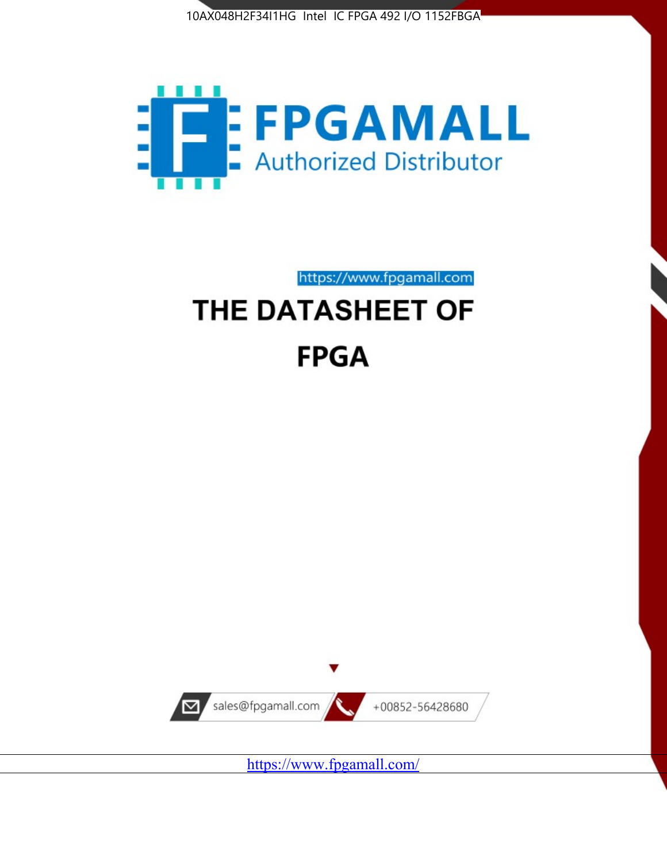



https://www.fpgamall.com THE DATASHEET OF

# **FPGA**



<https://www.fpgamall.com/>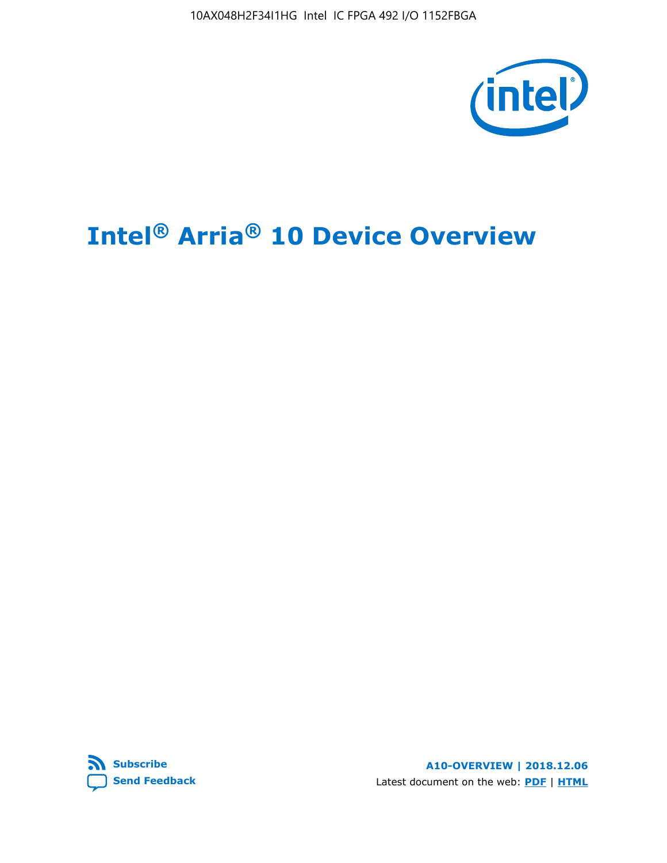10AX048H2F34I1HG Intel IC FPGA 492 I/O 1152FBGA



# **Intel® Arria® 10 Device Overview**



**A10-OVERVIEW | 2018.12.06** Latest document on the web: **[PDF](https://www.intel.com/content/dam/www/programmable/us/en/pdfs/literature/hb/arria-10/a10_overview.pdf)** | **[HTML](https://www.intel.com/content/www/us/en/programmable/documentation/sam1403480274650.html)**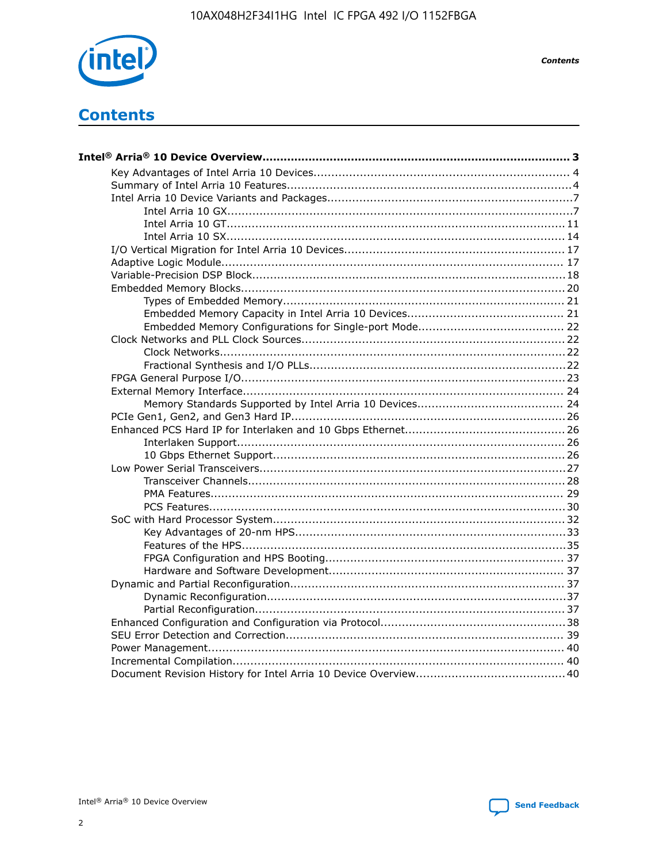

**Contents** 

# **Contents**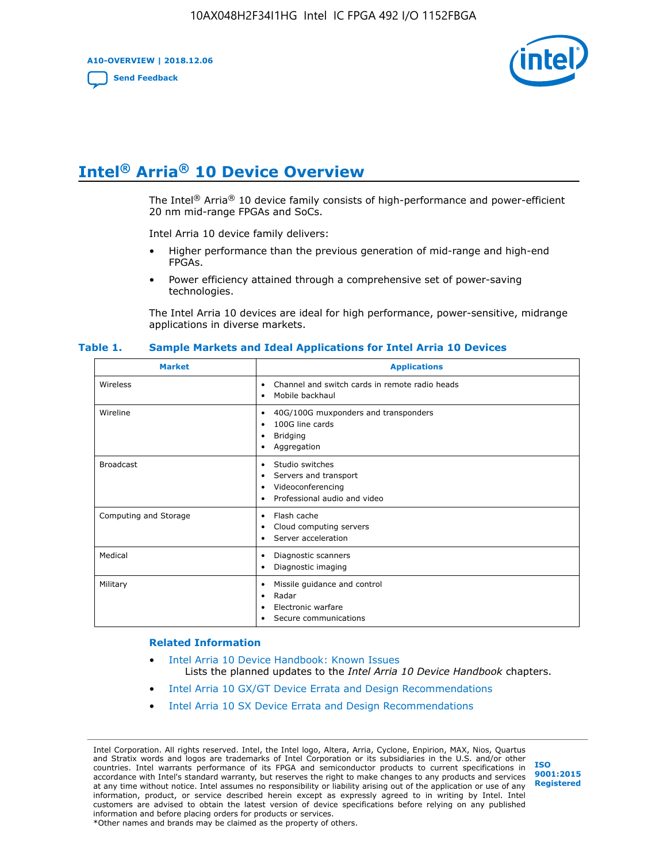**A10-OVERVIEW | 2018.12.06**

**[Send Feedback](mailto:FPGAtechdocfeedback@intel.com?subject=Feedback%20on%20Intel%20Arria%2010%20Device%20Overview%20(A10-OVERVIEW%202018.12.06)&body=We%20appreciate%20your%20feedback.%20In%20your%20comments,%20also%20specify%20the%20page%20number%20or%20paragraph.%20Thank%20you.)**



# **Intel® Arria® 10 Device Overview**

The Intel<sup>®</sup> Arria<sup>®</sup> 10 device family consists of high-performance and power-efficient 20 nm mid-range FPGAs and SoCs.

Intel Arria 10 device family delivers:

- Higher performance than the previous generation of mid-range and high-end FPGAs.
- Power efficiency attained through a comprehensive set of power-saving technologies.

The Intel Arria 10 devices are ideal for high performance, power-sensitive, midrange applications in diverse markets.

| <b>Market</b>         | <b>Applications</b>                                                                                               |
|-----------------------|-------------------------------------------------------------------------------------------------------------------|
| Wireless              | Channel and switch cards in remote radio heads<br>٠<br>Mobile backhaul<br>٠                                       |
| Wireline              | 40G/100G muxponders and transponders<br>٠<br>100G line cards<br>٠<br><b>Bridging</b><br>٠<br>Aggregation<br>٠     |
| <b>Broadcast</b>      | Studio switches<br>٠<br>Servers and transport<br>٠<br>Videoconferencing<br>٠<br>Professional audio and video<br>٠ |
| Computing and Storage | Flash cache<br>٠<br>Cloud computing servers<br>٠<br>Server acceleration<br>٠                                      |
| Medical               | Diagnostic scanners<br>٠<br>Diagnostic imaging<br>٠                                                               |
| Military              | Missile guidance and control<br>٠<br>Radar<br>٠<br>Electronic warfare<br>٠<br>Secure communications<br>٠          |

#### **Table 1. Sample Markets and Ideal Applications for Intel Arria 10 Devices**

#### **Related Information**

- [Intel Arria 10 Device Handbook: Known Issues](http://www.altera.com/support/kdb/solutions/rd07302013_646.html) Lists the planned updates to the *Intel Arria 10 Device Handbook* chapters.
- [Intel Arria 10 GX/GT Device Errata and Design Recommendations](https://www.intel.com/content/www/us/en/programmable/documentation/agz1493851706374.html#yqz1494433888646)
- [Intel Arria 10 SX Device Errata and Design Recommendations](https://www.intel.com/content/www/us/en/programmable/documentation/cru1462832385668.html#cru1462832558642)

Intel Corporation. All rights reserved. Intel, the Intel logo, Altera, Arria, Cyclone, Enpirion, MAX, Nios, Quartus and Stratix words and logos are trademarks of Intel Corporation or its subsidiaries in the U.S. and/or other countries. Intel warrants performance of its FPGA and semiconductor products to current specifications in accordance with Intel's standard warranty, but reserves the right to make changes to any products and services at any time without notice. Intel assumes no responsibility or liability arising out of the application or use of any information, product, or service described herein except as expressly agreed to in writing by Intel. Intel customers are advised to obtain the latest version of device specifications before relying on any published information and before placing orders for products or services. \*Other names and brands may be claimed as the property of others.

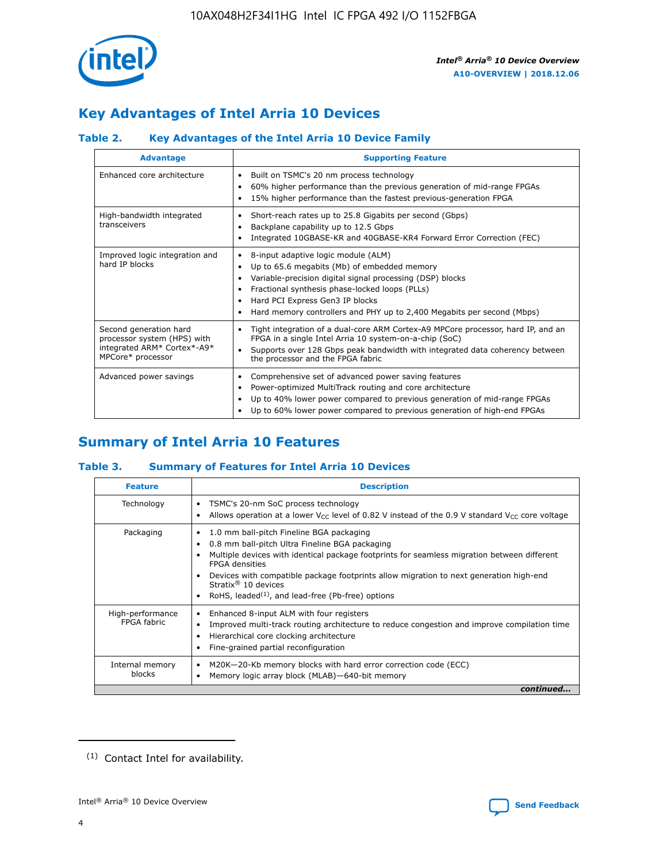

## **Key Advantages of Intel Arria 10 Devices**

## **Table 2. Key Advantages of the Intel Arria 10 Device Family**

| <b>Advantage</b>                                                                                          | <b>Supporting Feature</b>                                                                                                                                                                                                                                                                                                     |
|-----------------------------------------------------------------------------------------------------------|-------------------------------------------------------------------------------------------------------------------------------------------------------------------------------------------------------------------------------------------------------------------------------------------------------------------------------|
| Enhanced core architecture                                                                                | Built on TSMC's 20 nm process technology<br>٠<br>60% higher performance than the previous generation of mid-range FPGAs<br>٠<br>15% higher performance than the fastest previous-generation FPGA<br>٠                                                                                                                         |
| High-bandwidth integrated<br>transceivers                                                                 | Short-reach rates up to 25.8 Gigabits per second (Gbps)<br>٠<br>Backplane capability up to 12.5 Gbps<br>٠<br>Integrated 10GBASE-KR and 40GBASE-KR4 Forward Error Correction (FEC)<br>٠                                                                                                                                        |
| Improved logic integration and<br>hard IP blocks                                                          | 8-input adaptive logic module (ALM)<br>٠<br>Up to 65.6 megabits (Mb) of embedded memory<br>٠<br>Variable-precision digital signal processing (DSP) blocks<br>Fractional synthesis phase-locked loops (PLLs)<br>٠<br>Hard PCI Express Gen3 IP blocks<br>Hard memory controllers and PHY up to 2,400 Megabits per second (Mbps) |
| Second generation hard<br>processor system (HPS) with<br>integrated ARM* Cortex*-A9*<br>MPCore* processor | Tight integration of a dual-core ARM Cortex-A9 MPCore processor, hard IP, and an<br>٠<br>FPGA in a single Intel Arria 10 system-on-a-chip (SoC)<br>Supports over 128 Gbps peak bandwidth with integrated data coherency between<br>$\bullet$<br>the processor and the FPGA fabric                                             |
| Advanced power savings                                                                                    | Comprehensive set of advanced power saving features<br>٠<br>Power-optimized MultiTrack routing and core architecture<br>٠<br>Up to 40% lower power compared to previous generation of mid-range FPGAs<br>Up to 60% lower power compared to previous generation of high-end FPGAs<br>٠                                         |

## **Summary of Intel Arria 10 Features**

#### **Table 3. Summary of Features for Intel Arria 10 Devices**

| <b>Feature</b>                  | <b>Description</b>                                                                                                                                                                                                                                                                                                                                                                                 |
|---------------------------------|----------------------------------------------------------------------------------------------------------------------------------------------------------------------------------------------------------------------------------------------------------------------------------------------------------------------------------------------------------------------------------------------------|
| Technology                      | TSMC's 20-nm SoC process technology<br>Allows operation at a lower $V_{\text{CC}}$ level of 0.82 V instead of the 0.9 V standard $V_{\text{CC}}$ core voltage                                                                                                                                                                                                                                      |
| Packaging                       | 1.0 mm ball-pitch Fineline BGA packaging<br>٠<br>0.8 mm ball-pitch Ultra Fineline BGA packaging<br>Multiple devices with identical package footprints for seamless migration between different<br><b>FPGA</b> densities<br>Devices with compatible package footprints allow migration to next generation high-end<br>Stratix $@10$ devices<br>RoHS, leaded $(1)$ , and lead-free (Pb-free) options |
| High-performance<br>FPGA fabric | Enhanced 8-input ALM with four registers<br>Improved multi-track routing architecture to reduce congestion and improve compilation time<br>Hierarchical core clocking architecture<br>Fine-grained partial reconfiguration                                                                                                                                                                         |
| Internal memory<br>blocks       | M20K-20-Kb memory blocks with hard error correction code (ECC)<br>Memory logic array block (MLAB)-640-bit memory                                                                                                                                                                                                                                                                                   |
|                                 | continued                                                                                                                                                                                                                                                                                                                                                                                          |



<sup>(1)</sup> Contact Intel for availability.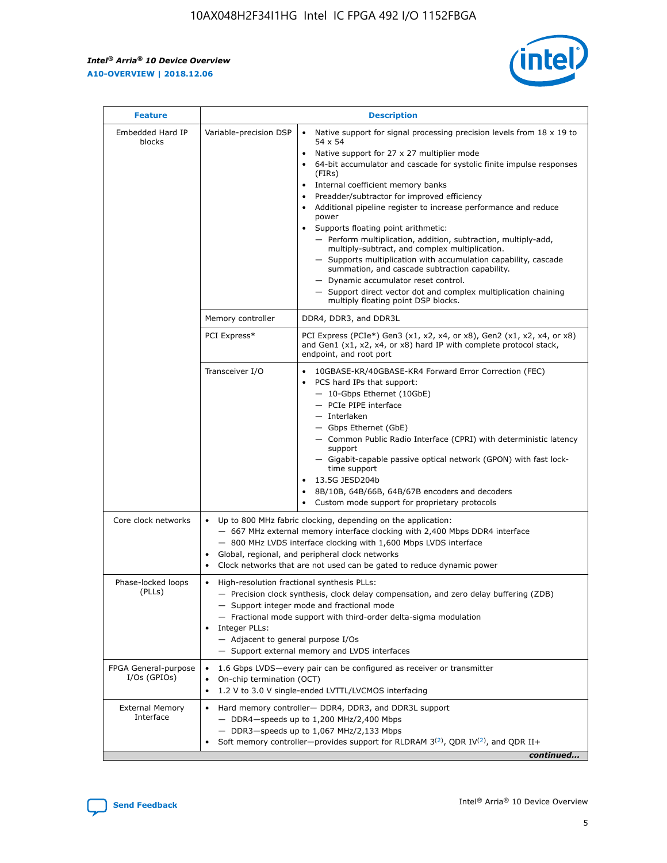r



| <b>Feature</b>                         |                                                                                                        | <b>Description</b>                                                                                                                                                                                                                                                                                                                                                                                                                                                                                                                                                                                                                                                                                                                                                                                                                                               |
|----------------------------------------|--------------------------------------------------------------------------------------------------------|------------------------------------------------------------------------------------------------------------------------------------------------------------------------------------------------------------------------------------------------------------------------------------------------------------------------------------------------------------------------------------------------------------------------------------------------------------------------------------------------------------------------------------------------------------------------------------------------------------------------------------------------------------------------------------------------------------------------------------------------------------------------------------------------------------------------------------------------------------------|
| Embedded Hard IP<br>blocks             | Variable-precision DSP                                                                                 | Native support for signal processing precision levels from $18 \times 19$ to<br>$\bullet$<br>54 x 54<br>Native support for 27 x 27 multiplier mode<br>$\bullet$<br>64-bit accumulator and cascade for systolic finite impulse responses<br>(FIRs)<br>Internal coefficient memory banks<br>$\bullet$<br>Preadder/subtractor for improved efficiency<br>Additional pipeline register to increase performance and reduce<br>power<br>Supports floating point arithmetic:<br>- Perform multiplication, addition, subtraction, multiply-add,<br>multiply-subtract, and complex multiplication.<br>- Supports multiplication with accumulation capability, cascade<br>summation, and cascade subtraction capability.<br>- Dynamic accumulator reset control.<br>- Support direct vector dot and complex multiplication chaining<br>multiply floating point DSP blocks. |
|                                        | Memory controller                                                                                      | DDR4, DDR3, and DDR3L                                                                                                                                                                                                                                                                                                                                                                                                                                                                                                                                                                                                                                                                                                                                                                                                                                            |
|                                        | PCI Express*                                                                                           | PCI Express (PCIe*) Gen3 (x1, x2, x4, or x8), Gen2 (x1, x2, x4, or x8)<br>and Gen1 (x1, x2, x4, or x8) hard IP with complete protocol stack,<br>endpoint, and root port                                                                                                                                                                                                                                                                                                                                                                                                                                                                                                                                                                                                                                                                                          |
|                                        | Transceiver I/O                                                                                        | $\bullet$<br>10GBASE-KR/40GBASE-KR4 Forward Error Correction (FEC)<br>PCS hard IPs that support:<br>$\bullet$<br>- 10-Gbps Ethernet (10GbE)<br>- PCIe PIPE interface<br>- Interlaken<br>- Gbps Ethernet (GbE)<br>- Common Public Radio Interface (CPRI) with deterministic latency<br>support<br>- Gigabit-capable passive optical network (GPON) with fast lock-<br>time support<br>13.5G JESD204b<br>$\bullet$<br>8B/10B, 64B/66B, 64B/67B encoders and decoders<br>Custom mode support for proprietary protocols                                                                                                                                                                                                                                                                                                                                              |
| Core clock networks                    | ٠<br>٠                                                                                                 | Up to 800 MHz fabric clocking, depending on the application:<br>- 667 MHz external memory interface clocking with 2,400 Mbps DDR4 interface<br>- 800 MHz LVDS interface clocking with 1,600 Mbps LVDS interface<br>Global, regional, and peripheral clock networks<br>Clock networks that are not used can be gated to reduce dynamic power                                                                                                                                                                                                                                                                                                                                                                                                                                                                                                                      |
| Phase-locked loops<br>(PLLs)           | High-resolution fractional synthesis PLLs:<br>٠<br>Integer PLLs:<br>- Adjacent to general purpose I/Os | - Precision clock synthesis, clock delay compensation, and zero delay buffering (ZDB)<br>- Support integer mode and fractional mode<br>- Fractional mode support with third-order delta-sigma modulation<br>- Support external memory and LVDS interfaces                                                                                                                                                                                                                                                                                                                                                                                                                                                                                                                                                                                                        |
| FPGA General-purpose<br>$I/Os$ (GPIOs) | On-chip termination (OCT)                                                                              | 1.6 Gbps LVDS-every pair can be configured as receiver or transmitter<br>1.2 V to 3.0 V single-ended LVTTL/LVCMOS interfacing                                                                                                                                                                                                                                                                                                                                                                                                                                                                                                                                                                                                                                                                                                                                    |
| <b>External Memory</b><br>Interface    |                                                                                                        | Hard memory controller- DDR4, DDR3, and DDR3L support<br>- DDR4-speeds up to 1,200 MHz/2,400 Mbps<br>- DDR3-speeds up to 1,067 MHz/2,133 Mbps<br>Soft memory controller—provides support for RLDRAM $3^{(2)}$ , QDR IV $^{(2)}$ , and QDR II+<br>continued                                                                                                                                                                                                                                                                                                                                                                                                                                                                                                                                                                                                       |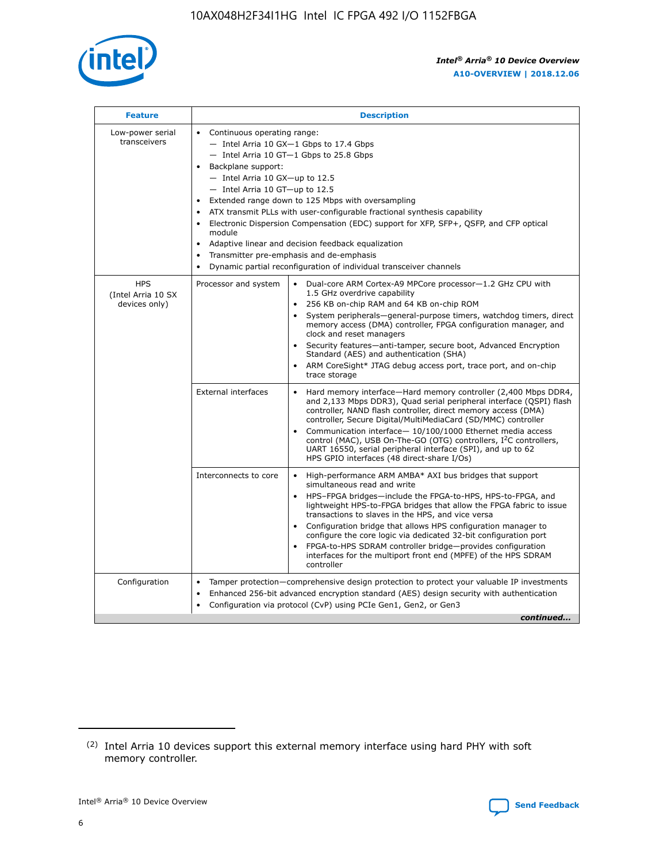

| <b>Feature</b>                                    | <b>Description</b>                                                                                                                                                                                                                                                                                                                                                                                                                                                                                                                                                                                                                                      |  |  |  |  |  |  |  |  |
|---------------------------------------------------|---------------------------------------------------------------------------------------------------------------------------------------------------------------------------------------------------------------------------------------------------------------------------------------------------------------------------------------------------------------------------------------------------------------------------------------------------------------------------------------------------------------------------------------------------------------------------------------------------------------------------------------------------------|--|--|--|--|--|--|--|--|
| Low-power serial<br>transceivers                  | • Continuous operating range:<br>- Intel Arria 10 GX-1 Gbps to 17.4 Gbps<br>- Intel Arria 10 GT-1 Gbps to 25.8 Gbps<br>Backplane support:<br>$-$ Intel Arria 10 GX-up to 12.5<br>- Intel Arria 10 GT-up to 12.5<br>Extended range down to 125 Mbps with oversampling<br>ATX transmit PLLs with user-configurable fractional synthesis capability<br>• Electronic Dispersion Compensation (EDC) support for XFP, SFP+, QSFP, and CFP optical<br>module<br>Adaptive linear and decision feedback equalization<br>$\bullet$<br>Transmitter pre-emphasis and de-emphasis<br>$\bullet$<br>Dynamic partial reconfiguration of individual transceiver channels |  |  |  |  |  |  |  |  |
| <b>HPS</b><br>(Intel Arria 10 SX<br>devices only) | Processor and system<br>Dual-core ARM Cortex-A9 MPCore processor-1.2 GHz CPU with<br>$\bullet$<br>1.5 GHz overdrive capability<br>• 256 KB on-chip RAM and 64 KB on-chip ROM<br>System peripherals-general-purpose timers, watchdog timers, direct<br>memory access (DMA) controller, FPGA configuration manager, and<br>clock and reset managers<br>• Security features—anti-tamper, secure boot, Advanced Encryption<br>Standard (AES) and authentication (SHA)<br>ARM CoreSight* JTAG debug access port, trace port, and on-chip<br>trace storage                                                                                                    |  |  |  |  |  |  |  |  |
|                                                   | <b>External interfaces</b><br>Hard memory interface—Hard memory controller (2,400 Mbps DDR4,<br>$\bullet$<br>and 2,133 Mbps DDR3), Quad serial peripheral interface (QSPI) flash<br>controller, NAND flash controller, direct memory access (DMA)<br>controller, Secure Digital/MultiMediaCard (SD/MMC) controller<br>Communication interface-10/100/1000 Ethernet media access<br>control (MAC), USB On-The-GO (OTG) controllers, I <sup>2</sup> C controllers,<br>UART 16550, serial peripheral interface (SPI), and up to 62<br>HPS GPIO interfaces (48 direct-share I/Os)                                                                           |  |  |  |  |  |  |  |  |
|                                                   | High-performance ARM AMBA* AXI bus bridges that support<br>Interconnects to core<br>$\bullet$<br>simultaneous read and write<br>HPS-FPGA bridges—include the FPGA-to-HPS, HPS-to-FPGA, and<br>lightweight HPS-to-FPGA bridges that allow the FPGA fabric to issue<br>transactions to slaves in the HPS, and vice versa<br>Configuration bridge that allows HPS configuration manager to<br>configure the core logic via dedicated 32-bit configuration port<br>FPGA-to-HPS SDRAM controller bridge-provides configuration<br>interfaces for the multiport front end (MPFE) of the HPS SDRAM<br>controller                                               |  |  |  |  |  |  |  |  |
| Configuration                                     | Tamper protection—comprehensive design protection to protect your valuable IP investments<br>Enhanced 256-bit advanced encryption standard (AES) design security with authentication<br>٠<br>Configuration via protocol (CvP) using PCIe Gen1, Gen2, or Gen3<br>continued                                                                                                                                                                                                                                                                                                                                                                               |  |  |  |  |  |  |  |  |

<sup>(2)</sup> Intel Arria 10 devices support this external memory interface using hard PHY with soft memory controller.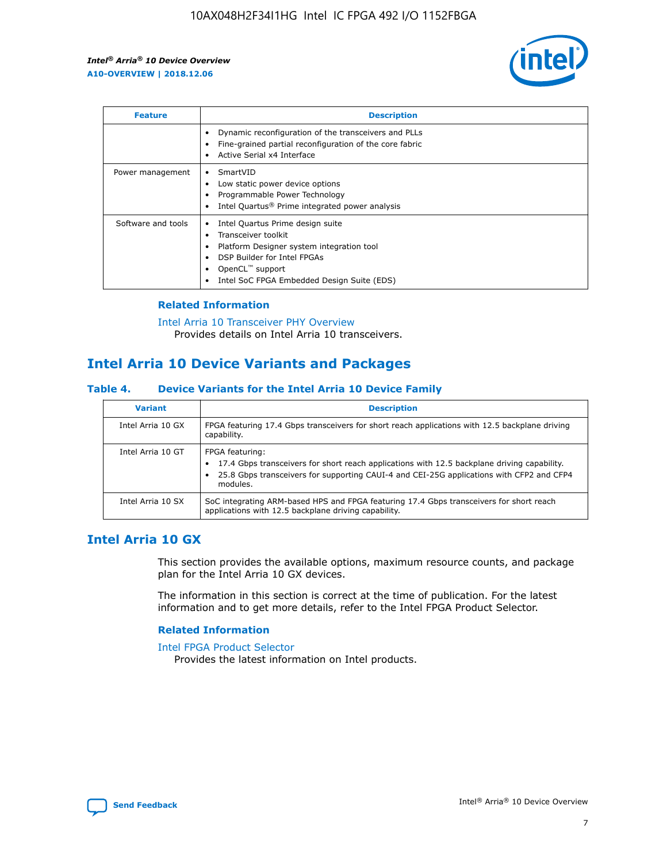

| <b>Feature</b>     | <b>Description</b>                                                                                                                                                                                               |
|--------------------|------------------------------------------------------------------------------------------------------------------------------------------------------------------------------------------------------------------|
|                    | Dynamic reconfiguration of the transceivers and PLLs<br>Fine-grained partial reconfiguration of the core fabric<br>Active Serial x4 Interface<br>$\bullet$                                                       |
| Power management   | SmartVID<br>Low static power device options<br>Programmable Power Technology<br>Intel Quartus <sup>®</sup> Prime integrated power analysis                                                                       |
| Software and tools | Intel Quartus Prime design suite<br>Transceiver toolkit<br>Platform Designer system integration tool<br>DSP Builder for Intel FPGAs<br>OpenCL <sup>™</sup> support<br>Intel SoC FPGA Embedded Design Suite (EDS) |

#### **Related Information**

[Intel Arria 10 Transceiver PHY Overview](https://www.intel.com/content/www/us/en/programmable/documentation/nik1398707230472.html#nik1398706768037) Provides details on Intel Arria 10 transceivers.

## **Intel Arria 10 Device Variants and Packages**

#### **Table 4. Device Variants for the Intel Arria 10 Device Family**

| <b>Variant</b>    | <b>Description</b>                                                                                                                                                                                                     |
|-------------------|------------------------------------------------------------------------------------------------------------------------------------------------------------------------------------------------------------------------|
| Intel Arria 10 GX | FPGA featuring 17.4 Gbps transceivers for short reach applications with 12.5 backplane driving<br>capability.                                                                                                          |
| Intel Arria 10 GT | FPGA featuring:<br>17.4 Gbps transceivers for short reach applications with 12.5 backplane driving capability.<br>25.8 Gbps transceivers for supporting CAUI-4 and CEI-25G applications with CFP2 and CFP4<br>modules. |
| Intel Arria 10 SX | SoC integrating ARM-based HPS and FPGA featuring 17.4 Gbps transceivers for short reach<br>applications with 12.5 backplane driving capability.                                                                        |

## **Intel Arria 10 GX**

This section provides the available options, maximum resource counts, and package plan for the Intel Arria 10 GX devices.

The information in this section is correct at the time of publication. For the latest information and to get more details, refer to the Intel FPGA Product Selector.

#### **Related Information**

#### [Intel FPGA Product Selector](http://www.altera.com/products/selector/psg-selector.html) Provides the latest information on Intel products.

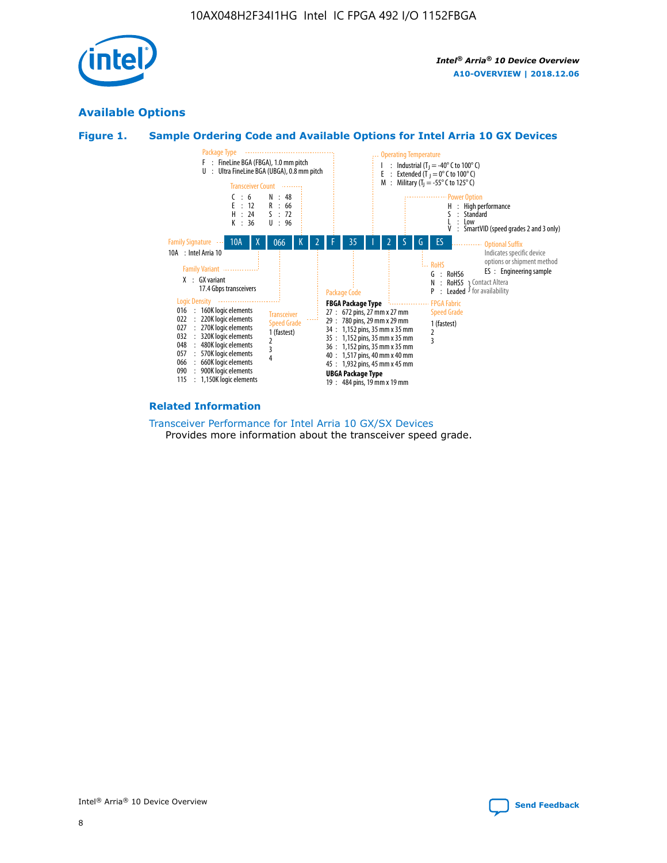

## **Available Options**





#### **Related Information**

[Transceiver Performance for Intel Arria 10 GX/SX Devices](https://www.intel.com/content/www/us/en/programmable/documentation/mcn1413182292568.html#mcn1413213965502) Provides more information about the transceiver speed grade.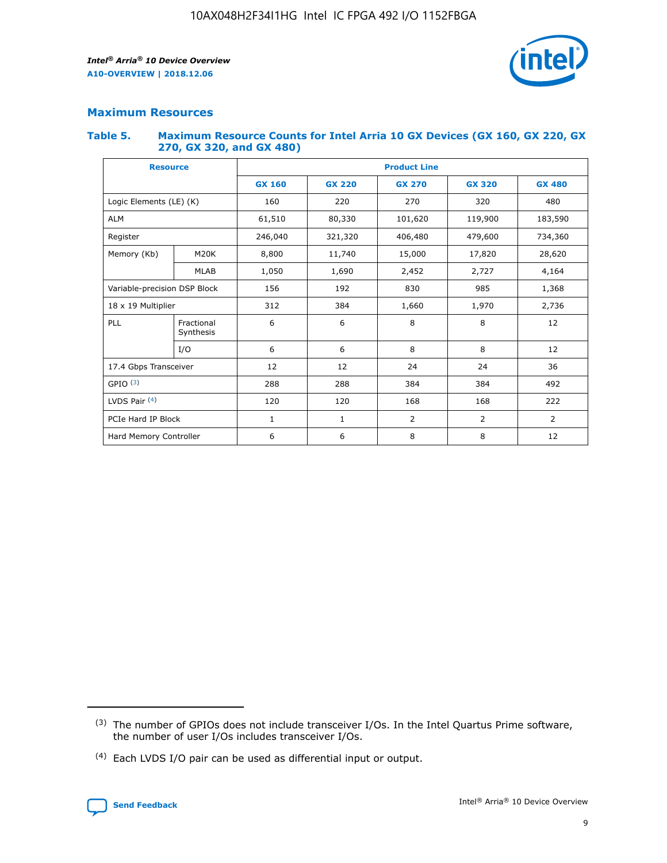

#### **Maximum Resources**

#### **Table 5. Maximum Resource Counts for Intel Arria 10 GX Devices (GX 160, GX 220, GX 270, GX 320, and GX 480)**

| <b>Resource</b>              |                         | <b>Product Line</b> |                                                 |                |                |                |  |  |  |
|------------------------------|-------------------------|---------------------|-------------------------------------------------|----------------|----------------|----------------|--|--|--|
|                              |                         | <b>GX 160</b>       | <b>GX 220</b><br><b>GX 270</b><br><b>GX 320</b> |                |                | <b>GX 480</b>  |  |  |  |
| Logic Elements (LE) (K)      |                         | 160                 | 220                                             | 270            | 320            | 480            |  |  |  |
| <b>ALM</b>                   |                         | 61,510              | 80,330                                          | 101,620        | 119,900        | 183,590        |  |  |  |
| Register                     |                         | 246,040             | 406,480<br>321,320                              |                | 479,600        | 734,360        |  |  |  |
| Memory (Kb)                  | M <sub>20</sub> K       | 8,800               | 11,740                                          | 15,000         | 17,820         | 28,620         |  |  |  |
|                              | <b>MLAB</b>             | 1,050               | 1,690<br>2,452<br>2,727                         |                |                | 4,164          |  |  |  |
| Variable-precision DSP Block |                         | 156                 | 192                                             | 830            | 985            | 1,368          |  |  |  |
| 18 x 19 Multiplier           |                         | 312                 | 384                                             | 1,970<br>1,660 |                | 2,736          |  |  |  |
| PLL                          | Fractional<br>Synthesis | 6                   | 6                                               | 8              | 8              | 12             |  |  |  |
|                              | I/O                     | 6                   | 6                                               | 8              | 8              | 12             |  |  |  |
| 17.4 Gbps Transceiver        |                         | 12                  | 12                                              | 24             | 24             | 36             |  |  |  |
| GPIO <sup>(3)</sup>          |                         | 288                 | 288                                             | 384<br>384     |                | 492            |  |  |  |
| LVDS Pair $(4)$              |                         | 120                 | 120                                             | 168            | 168            | 222            |  |  |  |
| PCIe Hard IP Block           |                         | 1                   | 1                                               | 2              | $\overline{2}$ | $\overline{2}$ |  |  |  |
| Hard Memory Controller       |                         | 6                   | 6                                               | 8              | 8              | 12             |  |  |  |

<sup>(4)</sup> Each LVDS I/O pair can be used as differential input or output.



<sup>(3)</sup> The number of GPIOs does not include transceiver I/Os. In the Intel Quartus Prime software, the number of user I/Os includes transceiver I/Os.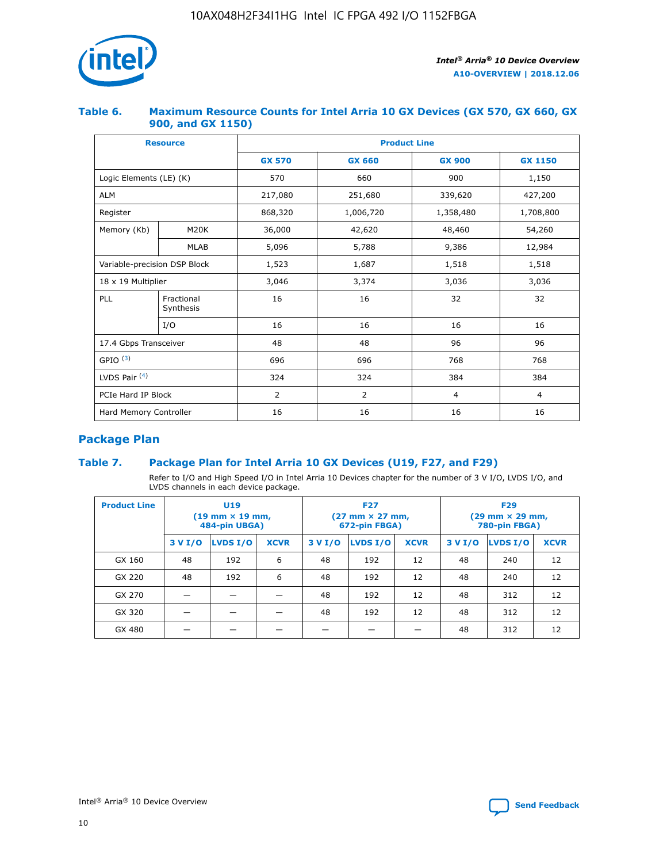

#### **Table 6. Maximum Resource Counts for Intel Arria 10 GX Devices (GX 570, GX 660, GX 900, and GX 1150)**

|                              | <b>Resource</b>         | <b>Product Line</b> |                |                |                |  |  |  |
|------------------------------|-------------------------|---------------------|----------------|----------------|----------------|--|--|--|
|                              |                         | <b>GX 570</b>       | <b>GX 660</b>  | <b>GX 900</b>  | <b>GX 1150</b> |  |  |  |
| Logic Elements (LE) (K)      |                         | 570                 | 660            | 900            | 1,150          |  |  |  |
| <b>ALM</b>                   |                         | 217,080             | 251,680        | 339,620        | 427,200        |  |  |  |
| Register                     |                         | 868,320             | 1,006,720      |                | 1,708,800      |  |  |  |
| Memory (Kb)                  | <b>M20K</b>             | 36,000              | 42,620         | 48,460         | 54,260         |  |  |  |
|                              | <b>MLAB</b>             | 5,096               | 5,788          | 9,386          | 12,984         |  |  |  |
| Variable-precision DSP Block |                         | 1,523               | 1,687          | 1,518          | 1,518          |  |  |  |
| $18 \times 19$ Multiplier    |                         | 3,046               | 3,374          | 3,036          | 3,036          |  |  |  |
| PLL                          | Fractional<br>Synthesis | 16                  | 16             | 32             | 32             |  |  |  |
|                              | I/O                     | 16                  | 16             | 16             | 16             |  |  |  |
| 17.4 Gbps Transceiver        |                         | 48                  | 48<br>96       |                | 96             |  |  |  |
| GPIO <sup>(3)</sup>          |                         | 696                 | 696            | 768            | 768            |  |  |  |
| LVDS Pair $(4)$              |                         | 324                 | 324            | 384            | 384            |  |  |  |
| PCIe Hard IP Block           |                         | 2                   | $\overline{2}$ | $\overline{4}$ | 4              |  |  |  |
| Hard Memory Controller       |                         | 16                  | 16             | 16             | 16             |  |  |  |

## **Package Plan**

#### **Table 7. Package Plan for Intel Arria 10 GX Devices (U19, F27, and F29)**

Refer to I/O and High Speed I/O in Intel Arria 10 Devices chapter for the number of 3 V I/O, LVDS I/O, and LVDS channels in each device package.

| <b>Product Line</b> | U <sub>19</sub><br>$(19 \text{ mm} \times 19 \text{ mm})$<br>484-pin UBGA) |          |             |         | <b>F27</b><br>(27 mm × 27 mm,<br>672-pin FBGA) |             | <b>F29</b><br>(29 mm × 29 mm,<br>780-pin FBGA) |          |             |  |
|---------------------|----------------------------------------------------------------------------|----------|-------------|---------|------------------------------------------------|-------------|------------------------------------------------|----------|-------------|--|
|                     | 3 V I/O                                                                    | LVDS I/O | <b>XCVR</b> | 3 V I/O | LVDS I/O                                       | <b>XCVR</b> | 3 V I/O                                        | LVDS I/O | <b>XCVR</b> |  |
| GX 160              | 48                                                                         | 192      | 6           | 48      | 192                                            | 12          | 48                                             | 240      | 12          |  |
| GX 220              | 48                                                                         | 192      | 6           | 48      | 192                                            | 12          | 48                                             | 240      | 12          |  |
| GX 270              |                                                                            |          |             | 48      | 192                                            | 12          | 48                                             | 312      | 12          |  |
| GX 320              |                                                                            |          |             | 48      | 192                                            | 12          | 48                                             | 312      | 12          |  |
| GX 480              |                                                                            |          |             |         |                                                |             | 48                                             | 312      | 12          |  |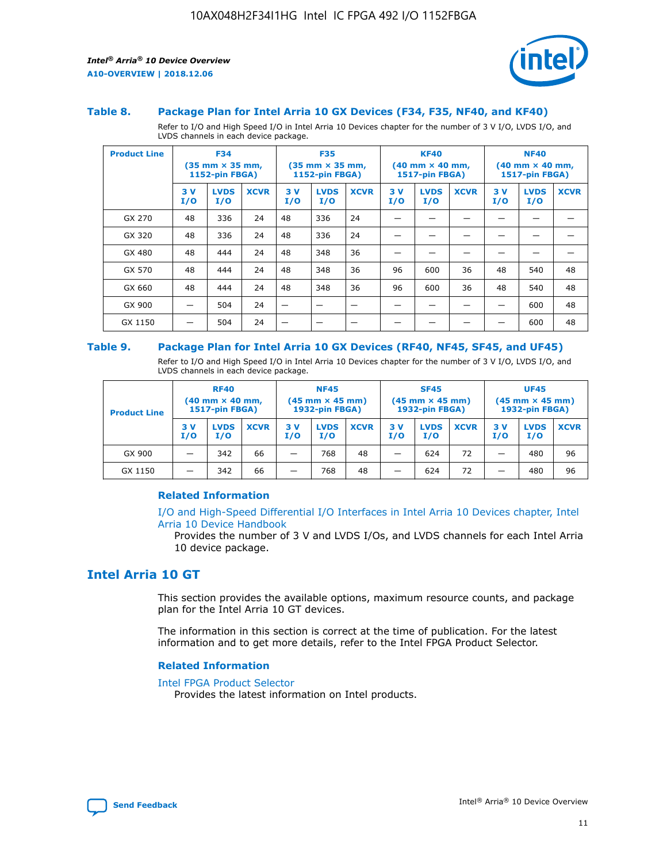

#### **Table 8. Package Plan for Intel Arria 10 GX Devices (F34, F35, NF40, and KF40)**

Refer to I/O and High Speed I/O in Intel Arria 10 Devices chapter for the number of 3 V I/O, LVDS I/O, and LVDS channels in each device package.

| <b>Product Line</b> | <b>F34</b><br>$(35 \text{ mm} \times 35 \text{ mm})$<br>1152-pin FBGA) |                    | <b>F35</b><br>$(35$ mm $\times$ 35 mm,<br><b>1152-pin FBGA)</b> |           | <b>KF40</b><br>$(40$ mm $\times$ 40 mm,<br>1517-pin FBGA) |             |           | <b>NF40</b><br>$(40 \text{ mm} \times 40 \text{ mm})$<br><b>1517-pin FBGA)</b> |             |            |                    |             |
|---------------------|------------------------------------------------------------------------|--------------------|-----------------------------------------------------------------|-----------|-----------------------------------------------------------|-------------|-----------|--------------------------------------------------------------------------------|-------------|------------|--------------------|-------------|
|                     | 3V<br>I/O                                                              | <b>LVDS</b><br>I/O | <b>XCVR</b>                                                     | 3V<br>I/O | <b>LVDS</b><br>I/O                                        | <b>XCVR</b> | 3V<br>I/O | <b>LVDS</b><br>I/O                                                             | <b>XCVR</b> | 3 V<br>I/O | <b>LVDS</b><br>I/O | <b>XCVR</b> |
| GX 270              | 48                                                                     | 336                | 24                                                              | 48        | 336                                                       | 24          |           |                                                                                |             |            |                    |             |
| GX 320              | 48                                                                     | 336                | 24                                                              | 48        | 336                                                       | 24          |           |                                                                                |             |            |                    |             |
| GX 480              | 48                                                                     | 444                | 24                                                              | 48        | 348                                                       | 36          |           |                                                                                |             |            |                    |             |
| GX 570              | 48                                                                     | 444                | 24                                                              | 48        | 348                                                       | 36          | 96        | 600                                                                            | 36          | 48         | 540                | 48          |
| GX 660              | 48                                                                     | 444                | 24                                                              | 48        | 348                                                       | 36          | 96        | 600                                                                            | 36          | 48         | 540                | 48          |
| GX 900              |                                                                        | 504                | 24                                                              | –         |                                                           |             |           |                                                                                |             |            | 600                | 48          |
| GX 1150             |                                                                        | 504                | 24                                                              |           |                                                           |             |           |                                                                                |             |            | 600                | 48          |

#### **Table 9. Package Plan for Intel Arria 10 GX Devices (RF40, NF45, SF45, and UF45)**

Refer to I/O and High Speed I/O in Intel Arria 10 Devices chapter for the number of 3 V I/O, LVDS I/O, and LVDS channels in each device package.

| <b>Product Line</b> | <b>RF40</b><br>$(40 \text{ mm} \times 40 \text{ mm})$<br>1517-pin FBGA) |                    | <b>NF45</b><br>$(45 \text{ mm} \times 45 \text{ mm})$<br><b>1932-pin FBGA)</b> |            |                    | <b>SF45</b><br>$(45 \text{ mm} \times 45 \text{ mm})$<br><b>1932-pin FBGA)</b> |            |                    | <b>UF45</b><br>$(45 \text{ mm} \times 45 \text{ mm})$<br>1932-pin FBGA) |           |                    |             |
|---------------------|-------------------------------------------------------------------------|--------------------|--------------------------------------------------------------------------------|------------|--------------------|--------------------------------------------------------------------------------|------------|--------------------|-------------------------------------------------------------------------|-----------|--------------------|-------------|
|                     | 3 V<br>I/O                                                              | <b>LVDS</b><br>I/O | <b>XCVR</b>                                                                    | 3 V<br>I/O | <b>LVDS</b><br>I/O | <b>XCVR</b>                                                                    | 3 V<br>I/O | <b>LVDS</b><br>I/O | <b>XCVR</b>                                                             | 3V<br>I/O | <b>LVDS</b><br>I/O | <b>XCVR</b> |
| GX 900              | _                                                                       | 342                | 66                                                                             | -          | 768                | 48                                                                             | -          | 624                | 72                                                                      | _         | 480                | 96          |
| GX 1150             |                                                                         | 342                | 66                                                                             | -          | 768                | 48                                                                             |            | 624                | 72                                                                      |           | 480                | 96          |

#### **Related Information**

[I/O and High-Speed Differential I/O Interfaces in Intel Arria 10 Devices chapter, Intel](https://www.intel.com/content/www/us/en/programmable/documentation/sam1403482614086.html#sam1403482030321) [Arria 10 Device Handbook](https://www.intel.com/content/www/us/en/programmable/documentation/sam1403482614086.html#sam1403482030321)

Provides the number of 3 V and LVDS I/Os, and LVDS channels for each Intel Arria 10 device package.

## **Intel Arria 10 GT**

This section provides the available options, maximum resource counts, and package plan for the Intel Arria 10 GT devices.

The information in this section is correct at the time of publication. For the latest information and to get more details, refer to the Intel FPGA Product Selector.

#### **Related Information**

#### [Intel FPGA Product Selector](http://www.altera.com/products/selector/psg-selector.html)

Provides the latest information on Intel products.

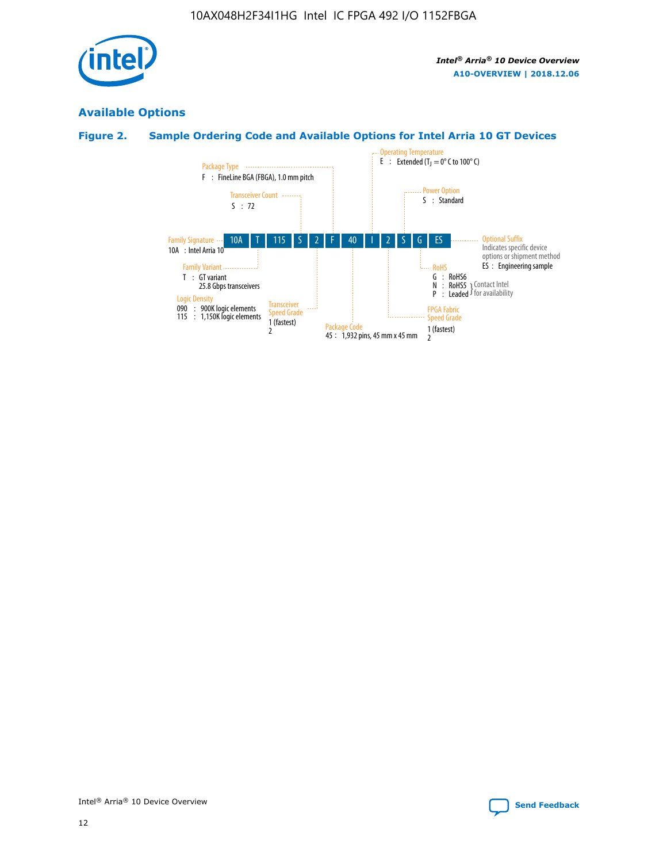

## **Available Options**

## **Figure 2. Sample Ordering Code and Available Options for Intel Arria 10 GT Devices**

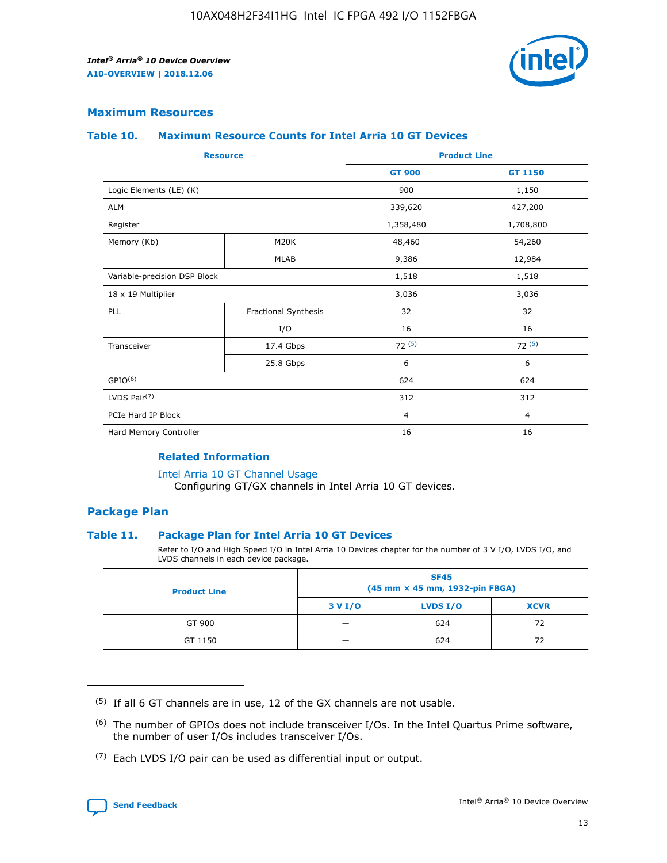

#### **Maximum Resources**

#### **Table 10. Maximum Resource Counts for Intel Arria 10 GT Devices**

| <b>Resource</b>              |                      |                | <b>Product Line</b> |  |
|------------------------------|----------------------|----------------|---------------------|--|
|                              |                      | <b>GT 900</b>  | <b>GT 1150</b>      |  |
| Logic Elements (LE) (K)      |                      | 900            | 1,150               |  |
| <b>ALM</b>                   |                      | 339,620        | 427,200             |  |
| Register                     |                      | 1,358,480      | 1,708,800           |  |
| Memory (Kb)                  | M20K                 | 48,460         | 54,260              |  |
|                              | <b>MLAB</b>          | 9,386          | 12,984              |  |
| Variable-precision DSP Block |                      | 1,518          | 1,518               |  |
| 18 x 19 Multiplier           |                      | 3,036          | 3,036               |  |
| PLL                          | Fractional Synthesis | 32             | 32                  |  |
|                              | I/O                  | 16             | 16                  |  |
| Transceiver                  | 17.4 Gbps            | 72(5)          | 72(5)               |  |
|                              | 25.8 Gbps            | 6              | 6                   |  |
| GPIO <sup>(6)</sup>          |                      | 624            | 624                 |  |
| LVDS Pair $(7)$              |                      | 312            | 312                 |  |
| PCIe Hard IP Block           |                      | $\overline{4}$ | $\overline{4}$      |  |
| Hard Memory Controller       |                      | 16             | 16                  |  |

#### **Related Information**

#### [Intel Arria 10 GT Channel Usage](https://www.intel.com/content/www/us/en/programmable/documentation/nik1398707230472.html#nik1398707008178)

Configuring GT/GX channels in Intel Arria 10 GT devices.

#### **Package Plan**

#### **Table 11. Package Plan for Intel Arria 10 GT Devices**

Refer to I/O and High Speed I/O in Intel Arria 10 Devices chapter for the number of 3 V I/O, LVDS I/O, and LVDS channels in each device package.

| <b>Product Line</b> | <b>SF45</b><br>(45 mm × 45 mm, 1932-pin FBGA) |                 |             |  |  |  |
|---------------------|-----------------------------------------------|-----------------|-------------|--|--|--|
|                     | 3 V I/O                                       | <b>LVDS I/O</b> | <b>XCVR</b> |  |  |  |
| GT 900              |                                               | 624             | 72          |  |  |  |
| GT 1150             |                                               | 624             |             |  |  |  |

<sup>(7)</sup> Each LVDS I/O pair can be used as differential input or output.



 $(5)$  If all 6 GT channels are in use, 12 of the GX channels are not usable.

<sup>(6)</sup> The number of GPIOs does not include transceiver I/Os. In the Intel Quartus Prime software, the number of user I/Os includes transceiver I/Os.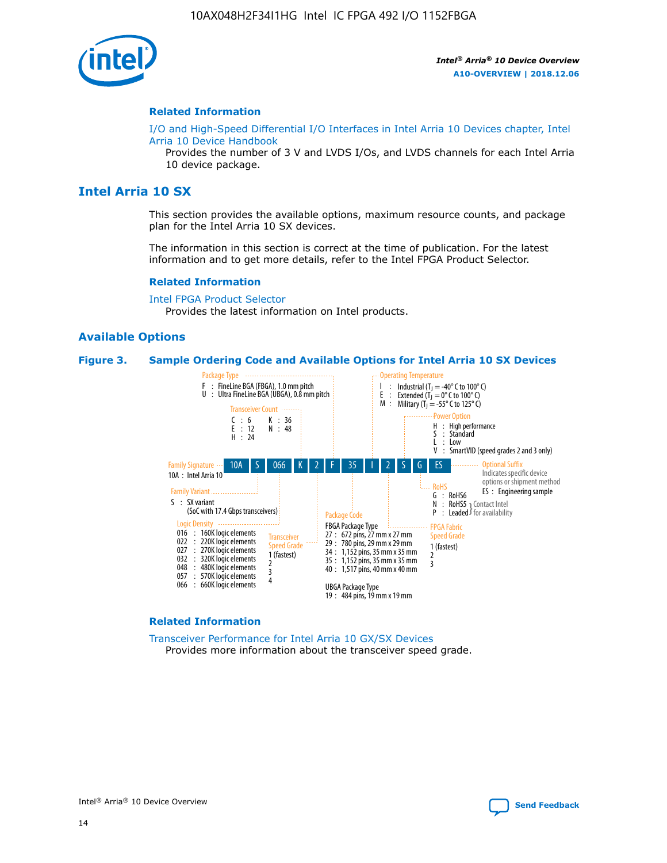

#### **Related Information**

[I/O and High-Speed Differential I/O Interfaces in Intel Arria 10 Devices chapter, Intel](https://www.intel.com/content/www/us/en/programmable/documentation/sam1403482614086.html#sam1403482030321) [Arria 10 Device Handbook](https://www.intel.com/content/www/us/en/programmable/documentation/sam1403482614086.html#sam1403482030321)

Provides the number of 3 V and LVDS I/Os, and LVDS channels for each Intel Arria 10 device package.

## **Intel Arria 10 SX**

This section provides the available options, maximum resource counts, and package plan for the Intel Arria 10 SX devices.

The information in this section is correct at the time of publication. For the latest information and to get more details, refer to the Intel FPGA Product Selector.

#### **Related Information**

[Intel FPGA Product Selector](http://www.altera.com/products/selector/psg-selector.html) Provides the latest information on Intel products.

#### **Available Options**

#### **Figure 3. Sample Ordering Code and Available Options for Intel Arria 10 SX Devices**



#### **Related Information**

[Transceiver Performance for Intel Arria 10 GX/SX Devices](https://www.intel.com/content/www/us/en/programmable/documentation/mcn1413182292568.html#mcn1413213965502) Provides more information about the transceiver speed grade.

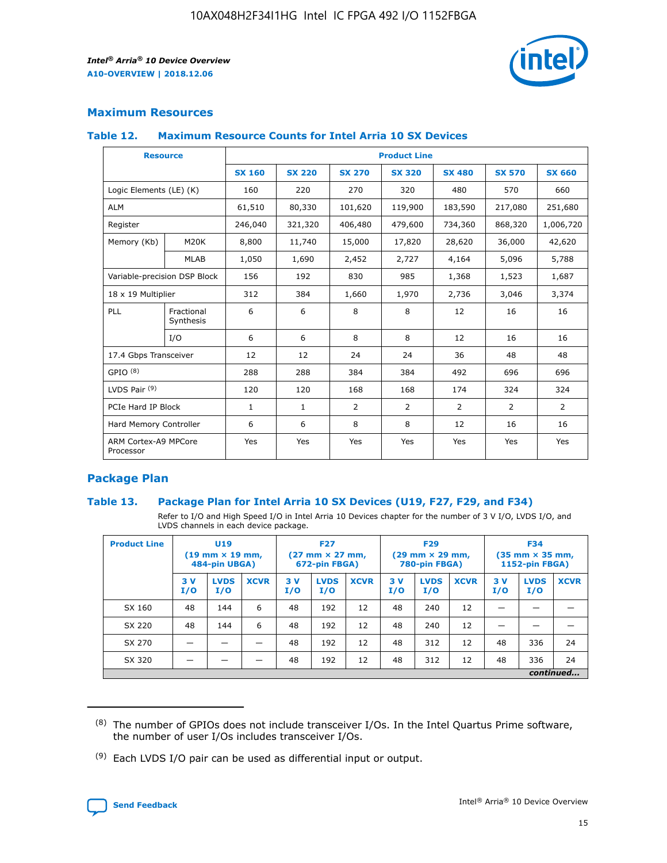

#### **Maximum Resources**

#### **Table 12. Maximum Resource Counts for Intel Arria 10 SX Devices**

| <b>Resource</b>                   |                         | <b>Product Line</b> |               |                |                |                |                |                |  |  |  |
|-----------------------------------|-------------------------|---------------------|---------------|----------------|----------------|----------------|----------------|----------------|--|--|--|
|                                   |                         | <b>SX 160</b>       | <b>SX 220</b> | <b>SX 270</b>  | <b>SX 320</b>  | <b>SX 480</b>  | <b>SX 570</b>  | <b>SX 660</b>  |  |  |  |
| Logic Elements (LE) (K)           |                         | 160                 | 220           | 270            | 320            | 480            | 570            | 660            |  |  |  |
| <b>ALM</b>                        |                         | 61,510              | 80,330        | 101,620        | 119,900        | 183,590        | 217,080        | 251,680        |  |  |  |
| Register                          |                         | 246,040             | 321,320       | 406,480        | 479,600        | 734,360        | 868,320        | 1,006,720      |  |  |  |
| Memory (Kb)                       | M <sub>20</sub> K       | 8,800               | 11,740        | 15,000         | 17,820         | 28,620         | 36,000         | 42,620         |  |  |  |
|                                   | <b>MLAB</b>             | 1,050               | 1,690         | 2,452          | 2,727          | 4,164          | 5,096          | 5,788          |  |  |  |
| Variable-precision DSP Block      |                         | 156                 | 192           | 830            | 985            | 1,368          | 1,523          | 1,687          |  |  |  |
| 18 x 19 Multiplier                |                         | 312                 | 384           | 1,660          | 1,970          | 2,736          | 3,046          | 3,374          |  |  |  |
| PLL                               | Fractional<br>Synthesis | 6                   | 6             | 8              | 8              | 12             | 16             | 16             |  |  |  |
|                                   | I/O                     | 6                   | 6             | 8              | 8              | 12             | 16             | 16             |  |  |  |
| 17.4 Gbps Transceiver             |                         | 12                  | 12            | 24             | 24             | 36             | 48             | 48             |  |  |  |
| GPIO <sup>(8)</sup>               |                         | 288                 | 288           | 384            | 384            | 492            | 696            | 696            |  |  |  |
| LVDS Pair $(9)$                   |                         | 120                 | 120           | 168            | 168            | 174            | 324            | 324            |  |  |  |
| PCIe Hard IP Block                |                         | $\mathbf{1}$        | $\mathbf{1}$  | $\overline{2}$ | $\overline{2}$ | $\overline{2}$ | $\overline{2}$ | $\overline{2}$ |  |  |  |
| Hard Memory Controller            |                         | 6                   | 6             | 8              | 8              | 12             | 16             | 16             |  |  |  |
| ARM Cortex-A9 MPCore<br>Processor |                         | Yes                 | Yes           | Yes            | Yes            | Yes            | Yes            | <b>Yes</b>     |  |  |  |

#### **Package Plan**

#### **Table 13. Package Plan for Intel Arria 10 SX Devices (U19, F27, F29, and F34)**

Refer to I/O and High Speed I/O in Intel Arria 10 Devices chapter for the number of 3 V I/O, LVDS I/O, and LVDS channels in each device package.

| <b>Product Line</b> | U <sub>19</sub><br>$(19 \text{ mm} \times 19 \text{ mm})$<br>484-pin UBGA) |                    | <b>F27</b><br>$(27 \text{ mm} \times 27 \text{ mm})$<br>672-pin FBGA) |           | <b>F29</b><br>$(29 \text{ mm} \times 29 \text{ mm})$<br>780-pin FBGA) |             |            | <b>F34</b><br>$(35 \text{ mm} \times 35 \text{ mm})$<br><b>1152-pin FBGA)</b> |             |           |                    |             |
|---------------------|----------------------------------------------------------------------------|--------------------|-----------------------------------------------------------------------|-----------|-----------------------------------------------------------------------|-------------|------------|-------------------------------------------------------------------------------|-------------|-----------|--------------------|-------------|
|                     | 3V<br>I/O                                                                  | <b>LVDS</b><br>I/O | <b>XCVR</b>                                                           | 3V<br>I/O | <b>LVDS</b><br>I/O                                                    | <b>XCVR</b> | 3 V<br>I/O | <b>LVDS</b><br>I/O                                                            | <b>XCVR</b> | 3V<br>I/O | <b>LVDS</b><br>I/O | <b>XCVR</b> |
| SX 160              | 48                                                                         | 144                | 6                                                                     | 48        | 192                                                                   | 12          | 48         | 240                                                                           | 12          | –         |                    |             |
| SX 220              | 48                                                                         | 144                | 6                                                                     | 48        | 192                                                                   | 12          | 48         | 240                                                                           | 12          |           |                    |             |
| SX 270              |                                                                            |                    |                                                                       | 48        | 192                                                                   | 12          | 48         | 312                                                                           | 12          | 48        | 336                | 24          |
| SX 320              |                                                                            |                    |                                                                       | 48        | 192                                                                   | 12          | 48         | 312                                                                           | 12          | 48        | 336                | 24          |
|                     | continued                                                                  |                    |                                                                       |           |                                                                       |             |            |                                                                               |             |           |                    |             |

 $(8)$  The number of GPIOs does not include transceiver I/Os. In the Intel Quartus Prime software, the number of user I/Os includes transceiver I/Os.

 $(9)$  Each LVDS I/O pair can be used as differential input or output.

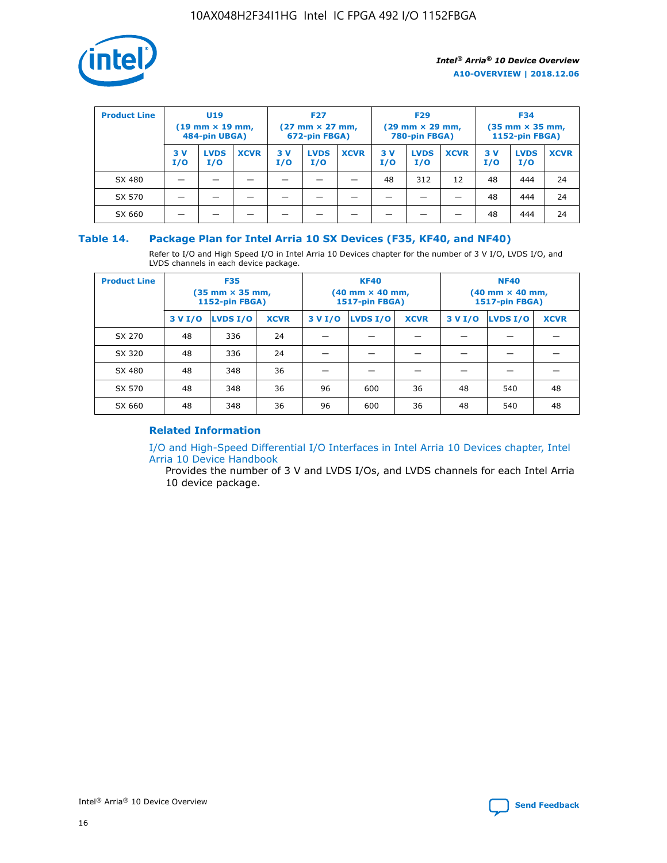

| <b>Product Line</b> | U <sub>19</sub><br>$(19 \text{ mm} \times 19 \text{ mm})$<br>484-pin UBGA) |                    | <b>F27</b><br>$(27 \text{ mm} \times 27 \text{ mm})$<br>672-pin FBGA) |           |                    | <b>F29</b><br>$(29 \text{ mm} \times 29 \text{ mm})$<br>780-pin FBGA) |           |                    | <b>F34</b><br>$(35$ mm $\times$ 35 mm,<br><b>1152-pin FBGA)</b> |           |                    |             |
|---------------------|----------------------------------------------------------------------------|--------------------|-----------------------------------------------------------------------|-----------|--------------------|-----------------------------------------------------------------------|-----------|--------------------|-----------------------------------------------------------------|-----------|--------------------|-------------|
|                     | 3V<br>I/O                                                                  | <b>LVDS</b><br>I/O | <b>XCVR</b>                                                           | 3V<br>I/O | <b>LVDS</b><br>I/O | <b>XCVR</b>                                                           | 3V<br>I/O | <b>LVDS</b><br>I/O | <b>XCVR</b>                                                     | 3V<br>I/O | <b>LVDS</b><br>I/O | <b>XCVR</b> |
| SX 480              |                                                                            |                    |                                                                       |           |                    |                                                                       | 48        | 312                | 12                                                              | 48        | 444                | 24          |
| SX 570              |                                                                            |                    |                                                                       |           |                    |                                                                       |           |                    |                                                                 | 48        | 444                | 24          |
| SX 660              |                                                                            |                    |                                                                       |           |                    |                                                                       |           |                    |                                                                 | 48        | 444                | 24          |

#### **Table 14. Package Plan for Intel Arria 10 SX Devices (F35, KF40, and NF40)**

Refer to I/O and High Speed I/O in Intel Arria 10 Devices chapter for the number of 3 V I/O, LVDS I/O, and LVDS channels in each device package.

| <b>Product Line</b> | <b>F35</b><br>(35 mm × 35 mm,<br><b>1152-pin FBGA)</b> |          |             |                                           | <b>KF40</b><br>(40 mm × 40 mm,<br>1517-pin FBGA) |    | <b>NF40</b><br>$(40 \text{ mm} \times 40 \text{ mm})$<br>1517-pin FBGA) |          |             |  |
|---------------------|--------------------------------------------------------|----------|-------------|-------------------------------------------|--------------------------------------------------|----|-------------------------------------------------------------------------|----------|-------------|--|
|                     | 3 V I/O                                                | LVDS I/O | <b>XCVR</b> | <b>LVDS I/O</b><br>3 V I/O<br><b>XCVR</b> |                                                  |    | 3 V I/O                                                                 | LVDS I/O | <b>XCVR</b> |  |
| SX 270              | 48                                                     | 336      | 24          |                                           |                                                  |    |                                                                         |          |             |  |
| SX 320              | 48                                                     | 336      | 24          |                                           |                                                  |    |                                                                         |          |             |  |
| SX 480              | 48                                                     | 348      | 36          |                                           |                                                  |    |                                                                         |          |             |  |
| SX 570              | 48                                                     | 348      | 36          | 96                                        | 600                                              | 36 | 48                                                                      | 540      | 48          |  |
| SX 660              | 48                                                     | 348      | 36          | 96                                        | 600                                              | 36 | 48                                                                      | 540      | 48          |  |

## **Related Information**

[I/O and High-Speed Differential I/O Interfaces in Intel Arria 10 Devices chapter, Intel](https://www.intel.com/content/www/us/en/programmable/documentation/sam1403482614086.html#sam1403482030321) [Arria 10 Device Handbook](https://www.intel.com/content/www/us/en/programmable/documentation/sam1403482614086.html#sam1403482030321)

Provides the number of 3 V and LVDS I/Os, and LVDS channels for each Intel Arria 10 device package.

Intel<sup>®</sup> Arria<sup>®</sup> 10 Device Overview **[Send Feedback](mailto:FPGAtechdocfeedback@intel.com?subject=Feedback%20on%20Intel%20Arria%2010%20Device%20Overview%20(A10-OVERVIEW%202018.12.06)&body=We%20appreciate%20your%20feedback.%20In%20your%20comments,%20also%20specify%20the%20page%20number%20or%20paragraph.%20Thank%20you.)** Send Feedback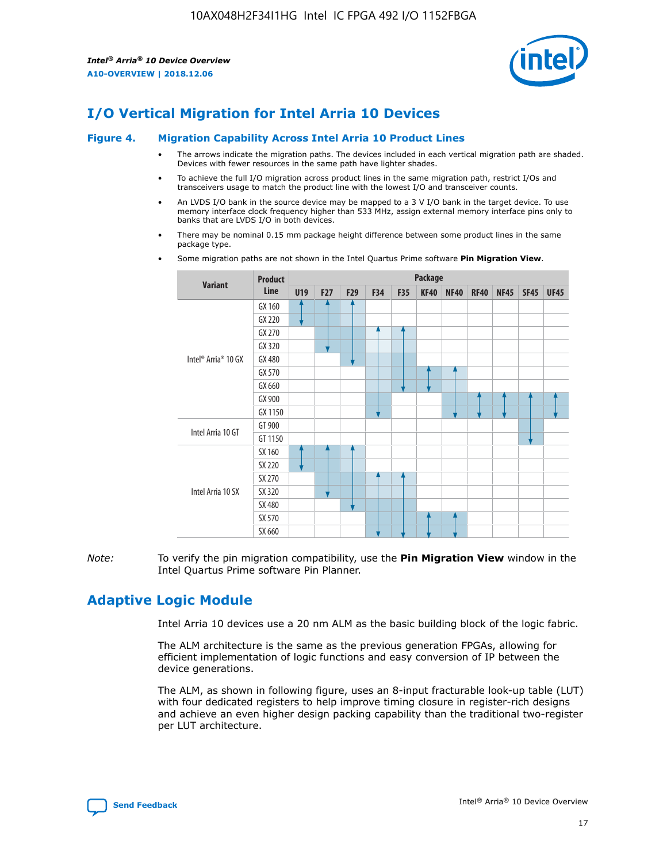

## **I/O Vertical Migration for Intel Arria 10 Devices**

#### **Figure 4. Migration Capability Across Intel Arria 10 Product Lines**

- The arrows indicate the migration paths. The devices included in each vertical migration path are shaded. Devices with fewer resources in the same path have lighter shades.
- To achieve the full I/O migration across product lines in the same migration path, restrict I/Os and transceivers usage to match the product line with the lowest I/O and transceiver counts.
- An LVDS I/O bank in the source device may be mapped to a 3 V I/O bank in the target device. To use memory interface clock frequency higher than 533 MHz, assign external memory interface pins only to banks that are LVDS I/O in both devices.
- There may be nominal 0.15 mm package height difference between some product lines in the same package type.
	- **Variant Product Line Package U19 F27 F29 F34 F35 KF40 NF40 RF40 NF45 SF45 UF45** Intel® Arria® 10 GX GX 160 GX 220 GX 270 GX 320 GX 480 GX 570 GX 660 GX 900 GX 1150 Intel Arria 10 GT GT 900 GT 1150 Intel Arria 10 SX SX 160 SX 220 SX 270 SX 320 SX 480 SX 570 SX 660
- Some migration paths are not shown in the Intel Quartus Prime software **Pin Migration View**.

*Note:* To verify the pin migration compatibility, use the **Pin Migration View** window in the Intel Quartus Prime software Pin Planner.

## **Adaptive Logic Module**

Intel Arria 10 devices use a 20 nm ALM as the basic building block of the logic fabric.

The ALM architecture is the same as the previous generation FPGAs, allowing for efficient implementation of logic functions and easy conversion of IP between the device generations.

The ALM, as shown in following figure, uses an 8-input fracturable look-up table (LUT) with four dedicated registers to help improve timing closure in register-rich designs and achieve an even higher design packing capability than the traditional two-register per LUT architecture.

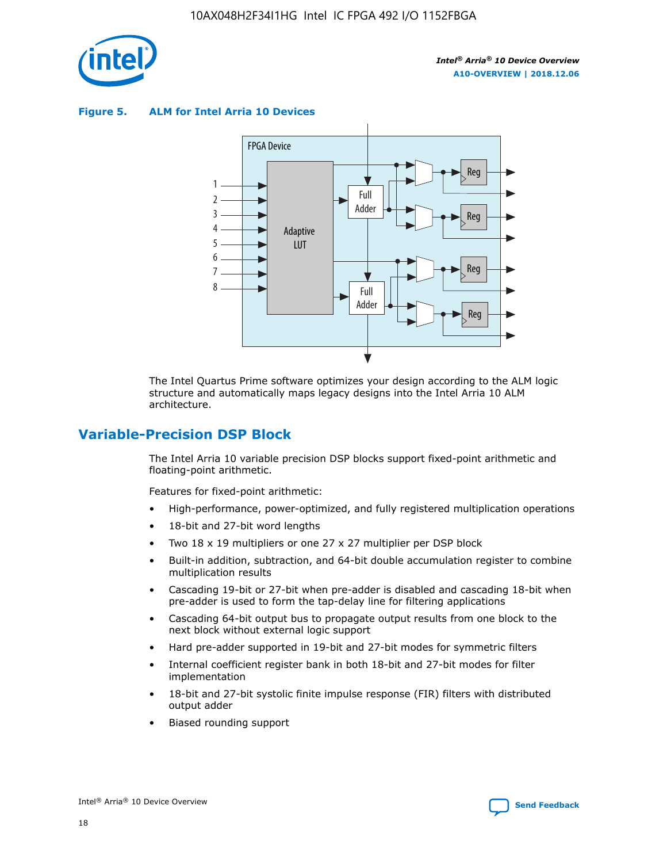

**Figure 5. ALM for Intel Arria 10 Devices**



The Intel Quartus Prime software optimizes your design according to the ALM logic structure and automatically maps legacy designs into the Intel Arria 10 ALM architecture.

## **Variable-Precision DSP Block**

The Intel Arria 10 variable precision DSP blocks support fixed-point arithmetic and floating-point arithmetic.

Features for fixed-point arithmetic:

- High-performance, power-optimized, and fully registered multiplication operations
- 18-bit and 27-bit word lengths
- Two 18 x 19 multipliers or one 27 x 27 multiplier per DSP block
- Built-in addition, subtraction, and 64-bit double accumulation register to combine multiplication results
- Cascading 19-bit or 27-bit when pre-adder is disabled and cascading 18-bit when pre-adder is used to form the tap-delay line for filtering applications
- Cascading 64-bit output bus to propagate output results from one block to the next block without external logic support
- Hard pre-adder supported in 19-bit and 27-bit modes for symmetric filters
- Internal coefficient register bank in both 18-bit and 27-bit modes for filter implementation
- 18-bit and 27-bit systolic finite impulse response (FIR) filters with distributed output adder
- Biased rounding support

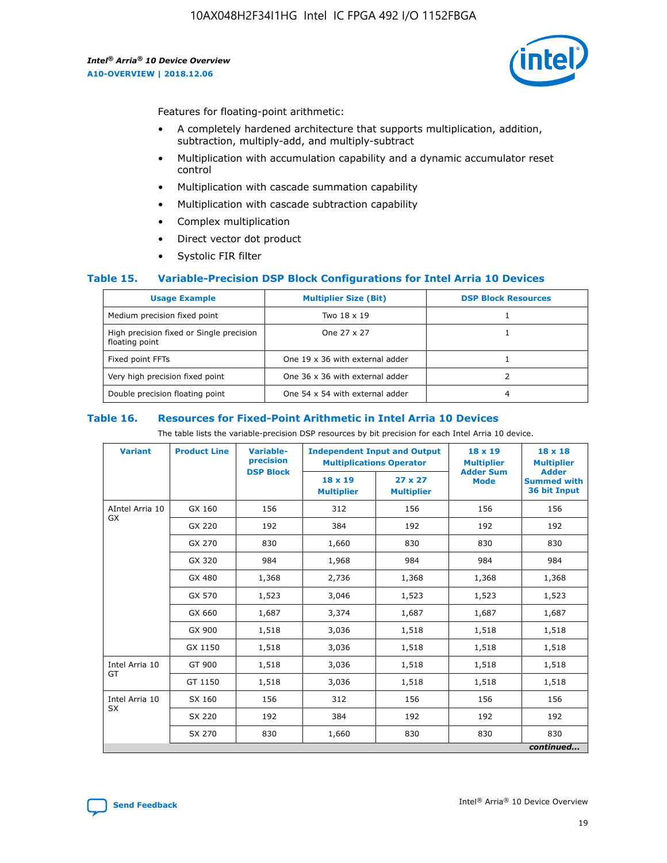

Features for floating-point arithmetic:

- A completely hardened architecture that supports multiplication, addition, subtraction, multiply-add, and multiply-subtract
- Multiplication with accumulation capability and a dynamic accumulator reset control
- Multiplication with cascade summation capability
- Multiplication with cascade subtraction capability
- Complex multiplication
- Direct vector dot product
- Systolic FIR filter

#### **Table 15. Variable-Precision DSP Block Configurations for Intel Arria 10 Devices**

| <b>Usage Example</b>                                       | <b>Multiplier Size (Bit)</b>    | <b>DSP Block Resources</b> |
|------------------------------------------------------------|---------------------------------|----------------------------|
| Medium precision fixed point                               | Two 18 x 19                     |                            |
| High precision fixed or Single precision<br>floating point | One 27 x 27                     |                            |
| Fixed point FFTs                                           | One 19 x 36 with external adder |                            |
| Very high precision fixed point                            | One 36 x 36 with external adder |                            |
| Double precision floating point                            | One 54 x 54 with external adder | 4                          |

#### **Table 16. Resources for Fixed-Point Arithmetic in Intel Arria 10 Devices**

The table lists the variable-precision DSP resources by bit precision for each Intel Arria 10 device.

| <b>Variant</b>        | <b>Product Line</b> | Variable-<br>precision<br><b>DSP Block</b> | <b>Independent Input and Output</b><br><b>Multiplications Operator</b> |                                     | $18 \times 19$<br><b>Multiplier</b><br><b>Adder Sum</b> | $18 \times 18$<br><b>Multiplier</b><br><b>Adder</b> |
|-----------------------|---------------------|--------------------------------------------|------------------------------------------------------------------------|-------------------------------------|---------------------------------------------------------|-----------------------------------------------------|
|                       |                     |                                            | 18 x 19<br><b>Multiplier</b>                                           | $27 \times 27$<br><b>Multiplier</b> | <b>Mode</b>                                             | <b>Summed with</b><br>36 bit Input                  |
| AIntel Arria 10<br>GX | GX 160              | 156                                        | 312                                                                    | 156                                 | 156                                                     | 156                                                 |
|                       | GX 220              | 192                                        | 384                                                                    | 192                                 | 192                                                     | 192                                                 |
|                       | GX 270              | 830                                        | 1,660                                                                  | 830                                 | 830                                                     | 830                                                 |
|                       | GX 320              | 984                                        | 1,968                                                                  | 984                                 | 984                                                     | 984                                                 |
|                       | GX 480              | 1,368                                      | 2,736                                                                  | 1,368                               | 1,368                                                   | 1,368                                               |
|                       | GX 570              | 1,523                                      | 3,046                                                                  | 1,523                               | 1,523                                                   | 1,523                                               |
|                       | GX 660              | 1,687                                      | 3,374                                                                  | 1,687                               | 1,687                                                   | 1,687                                               |
|                       | GX 900              | 1,518                                      | 3,036                                                                  | 1,518                               | 1,518                                                   | 1,518                                               |
|                       | GX 1150             | 1,518                                      | 3,036                                                                  | 1,518                               | 1,518                                                   | 1,518                                               |
| Intel Arria 10        | GT 900              | 1,518                                      | 3,036                                                                  | 1,518                               | 1,518                                                   | 1,518                                               |
| GT                    | GT 1150             | 1,518                                      | 3,036                                                                  | 1,518                               | 1,518                                                   | 1,518                                               |
| Intel Arria 10        | SX 160              | 156                                        | 312                                                                    | 156                                 | 156                                                     | 156                                                 |
| <b>SX</b>             | SX 220              | 192                                        | 384                                                                    | 192                                 | 192                                                     | 192                                                 |
|                       | SX 270              | 830                                        | 1,660                                                                  | 830                                 | 830                                                     | 830                                                 |
|                       |                     |                                            |                                                                        |                                     |                                                         | continued                                           |

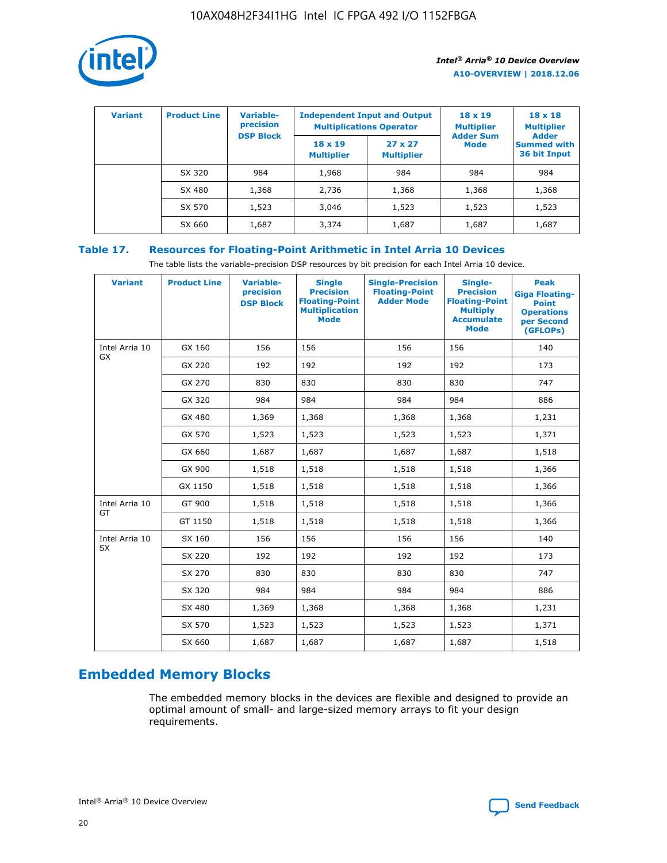

| <b>Variant</b> | <b>Product Line</b> | <b>Variable-</b><br>precision<br><b>DSP Block</b> | <b>Independent Input and Output</b><br><b>Multiplications Operator</b> |                                     | $18 \times 19$<br><b>Multiplier</b><br><b>Adder Sum</b> | $18 \times 18$<br><b>Multiplier</b><br><b>Adder</b> |  |
|----------------|---------------------|---------------------------------------------------|------------------------------------------------------------------------|-------------------------------------|---------------------------------------------------------|-----------------------------------------------------|--|
|                |                     |                                                   | $18 \times 19$<br><b>Multiplier</b>                                    | $27 \times 27$<br><b>Multiplier</b> | <b>Mode</b>                                             | <b>Summed with</b><br>36 bit Input                  |  |
|                | SX 320              | 984                                               | 1,968                                                                  | 984                                 | 984                                                     | 984                                                 |  |
|                | SX 480              | 1,368                                             | 2,736                                                                  | 1,368                               | 1,368                                                   | 1,368                                               |  |
|                | SX 570              | 1,523                                             | 3,046                                                                  | 1,523                               | 1,523                                                   | 1,523                                               |  |
|                | SX 660              | 1,687                                             | 3,374                                                                  | 1,687                               | 1,687                                                   | 1,687                                               |  |

## **Table 17. Resources for Floating-Point Arithmetic in Intel Arria 10 Devices**

The table lists the variable-precision DSP resources by bit precision for each Intel Arria 10 device.

| <b>Variant</b>              | <b>Product Line</b> | <b>Variable-</b><br>precision<br><b>DSP Block</b> | <b>Single</b><br><b>Precision</b><br><b>Floating-Point</b><br><b>Multiplication</b><br><b>Mode</b> | <b>Single-Precision</b><br><b>Floating-Point</b><br><b>Adder Mode</b> | Single-<br><b>Precision</b><br><b>Floating-Point</b><br><b>Multiply</b><br><b>Accumulate</b><br><b>Mode</b> | <b>Peak</b><br><b>Giga Floating-</b><br><b>Point</b><br><b>Operations</b><br>per Second<br>(GFLOPs) |
|-----------------------------|---------------------|---------------------------------------------------|----------------------------------------------------------------------------------------------------|-----------------------------------------------------------------------|-------------------------------------------------------------------------------------------------------------|-----------------------------------------------------------------------------------------------------|
| Intel Arria 10<br>GX        | GX 160              | 156                                               | 156                                                                                                | 156                                                                   | 156                                                                                                         | 140                                                                                                 |
|                             | GX 220              | 192                                               | 192                                                                                                | 192                                                                   | 192                                                                                                         | 173                                                                                                 |
|                             | GX 270              | 830                                               | 830                                                                                                | 830                                                                   | 830                                                                                                         | 747                                                                                                 |
|                             | GX 320              | 984                                               | 984                                                                                                | 984                                                                   | 984                                                                                                         | 886                                                                                                 |
|                             | GX 480              | 1,369                                             | 1,368                                                                                              | 1,368                                                                 | 1,368                                                                                                       | 1,231                                                                                               |
|                             | GX 570              | 1,523                                             | 1,523                                                                                              | 1,523                                                                 | 1,523                                                                                                       | 1,371                                                                                               |
|                             | GX 660              | 1,687                                             | 1,687                                                                                              | 1,687                                                                 | 1,687                                                                                                       | 1,518                                                                                               |
|                             | GX 900              | 1,518                                             | 1,518                                                                                              | 1,518                                                                 | 1,518                                                                                                       | 1,366                                                                                               |
|                             | GX 1150             | 1,518                                             | 1,518                                                                                              | 1,518                                                                 | 1,518                                                                                                       | 1,366                                                                                               |
| Intel Arria 10              | GT 900              | 1,518                                             | 1,518                                                                                              | 1,518                                                                 | 1,518                                                                                                       | 1,366                                                                                               |
| GT                          | GT 1150             | 1,518                                             | 1,518                                                                                              | 1,518                                                                 | 1,518                                                                                                       | 1,366                                                                                               |
| Intel Arria 10<br><b>SX</b> | SX 160              | 156                                               | 156                                                                                                | 156                                                                   | 156                                                                                                         | 140                                                                                                 |
|                             | SX 220              | 192                                               | 192                                                                                                | 192                                                                   | 192                                                                                                         | 173                                                                                                 |
|                             | SX 270              | 830                                               | 830                                                                                                | 830                                                                   | 830                                                                                                         | 747                                                                                                 |
|                             | SX 320              | 984                                               | 984                                                                                                | 984                                                                   | 984                                                                                                         | 886                                                                                                 |
|                             | SX 480              | 1,369                                             | 1,368                                                                                              | 1,368                                                                 | 1,368                                                                                                       | 1,231                                                                                               |
|                             | SX 570              | 1,523                                             | 1,523                                                                                              | 1,523                                                                 | 1,523                                                                                                       | 1,371                                                                                               |
|                             | SX 660              | 1,687                                             | 1,687                                                                                              | 1,687                                                                 | 1,687                                                                                                       | 1,518                                                                                               |

# **Embedded Memory Blocks**

The embedded memory blocks in the devices are flexible and designed to provide an optimal amount of small- and large-sized memory arrays to fit your design requirements.

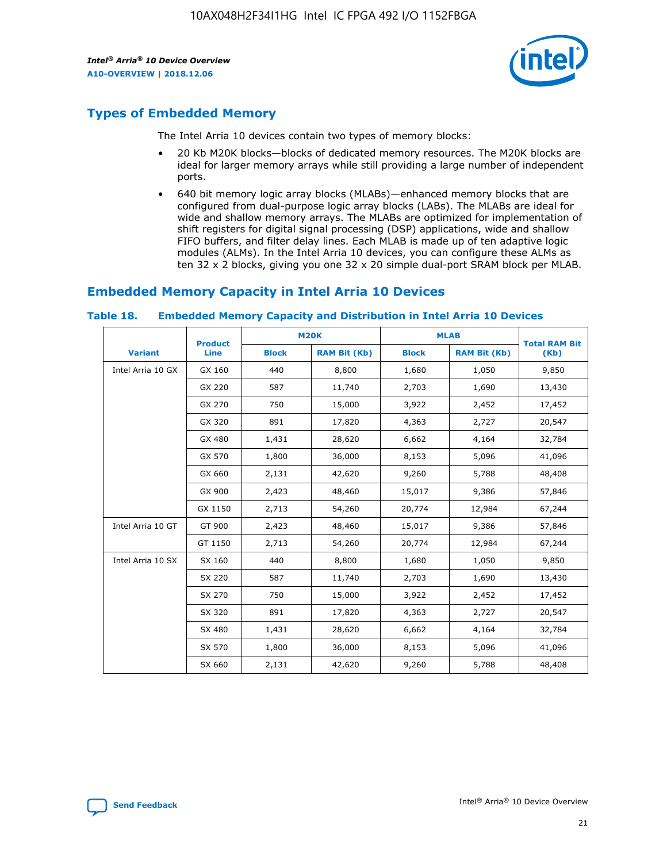

## **Types of Embedded Memory**

The Intel Arria 10 devices contain two types of memory blocks:

- 20 Kb M20K blocks—blocks of dedicated memory resources. The M20K blocks are ideal for larger memory arrays while still providing a large number of independent ports.
- 640 bit memory logic array blocks (MLABs)—enhanced memory blocks that are configured from dual-purpose logic array blocks (LABs). The MLABs are ideal for wide and shallow memory arrays. The MLABs are optimized for implementation of shift registers for digital signal processing (DSP) applications, wide and shallow FIFO buffers, and filter delay lines. Each MLAB is made up of ten adaptive logic modules (ALMs). In the Intel Arria 10 devices, you can configure these ALMs as ten 32 x 2 blocks, giving you one 32 x 20 simple dual-port SRAM block per MLAB.

## **Embedded Memory Capacity in Intel Arria 10 Devices**

|                   | <b>Product</b> |              | <b>M20K</b>         | <b>MLAB</b>  |                     | <b>Total RAM Bit</b> |
|-------------------|----------------|--------------|---------------------|--------------|---------------------|----------------------|
| <b>Variant</b>    | Line           | <b>Block</b> | <b>RAM Bit (Kb)</b> | <b>Block</b> | <b>RAM Bit (Kb)</b> | (Kb)                 |
| Intel Arria 10 GX | GX 160         | 440          | 8,800               | 1,680        | 1,050               | 9,850                |
|                   | GX 220         | 587          | 11,740              | 2,703        | 1,690               | 13,430               |
|                   | GX 270         | 750          | 15,000              | 3,922        | 2,452               | 17,452               |
|                   | GX 320         | 891          | 17,820              | 4,363        | 2,727               | 20,547               |
|                   | GX 480         | 1,431        | 28,620              | 6,662        | 4,164               | 32,784               |
|                   | GX 570         | 1,800        | 36,000              | 8,153        | 5,096               | 41,096               |
|                   | GX 660         | 2,131        | 42,620              | 9,260        | 5,788               | 48,408               |
|                   | GX 900         | 2,423        | 48,460              | 15,017       | 9,386               | 57,846               |
|                   | GX 1150        | 2,713        | 54,260              | 20,774       | 12,984              | 67,244               |
| Intel Arria 10 GT | GT 900         | 2,423        | 48,460              | 15,017       | 9,386               | 57,846               |
|                   | GT 1150        | 2,713        | 54,260              | 20,774       | 12,984              | 67,244               |
| Intel Arria 10 SX | SX 160         | 440          | 8,800               | 1,680        | 1,050               | 9,850                |
|                   | SX 220         | 587          | 11,740              | 2,703        | 1,690               | 13,430               |
|                   | SX 270         | 750          | 15,000              | 3,922        | 2,452               | 17,452               |
|                   | SX 320         | 891          | 17,820              | 4,363        | 2,727               | 20,547               |
|                   | SX 480         | 1,431        | 28,620              | 6,662        | 4,164               | 32,784               |
|                   | SX 570         | 1,800        | 36,000              | 8,153        | 5,096               | 41,096               |
|                   | SX 660         | 2,131        | 42,620              | 9,260        | 5,788               | 48,408               |

#### **Table 18. Embedded Memory Capacity and Distribution in Intel Arria 10 Devices**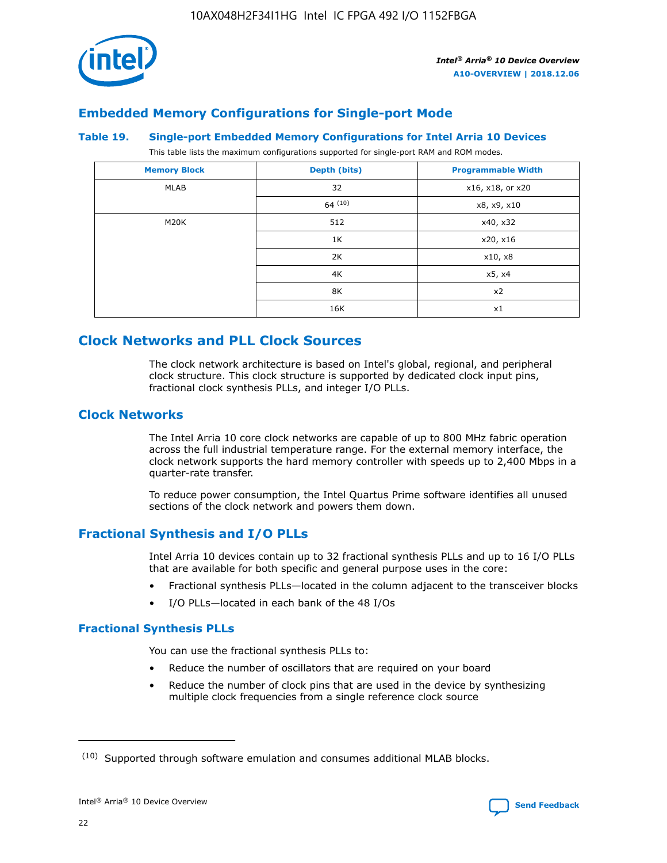

## **Embedded Memory Configurations for Single-port Mode**

#### **Table 19. Single-port Embedded Memory Configurations for Intel Arria 10 Devices**

This table lists the maximum configurations supported for single-port RAM and ROM modes.

| <b>Memory Block</b> | Depth (bits)           | <b>Programmable Width</b> |
|---------------------|------------------------|---------------------------|
| MLAB                | 32<br>x16, x18, or x20 |                           |
|                     | 64(10)                 | x8, x9, x10               |
| M20K                | 512                    | x40, x32                  |
|                     | 1K                     | x20, x16                  |
|                     | 2K                     | x10, x8                   |
|                     | 4K                     | x5, x4                    |
|                     | 8K                     | x2                        |
|                     | 16K                    | x1                        |

## **Clock Networks and PLL Clock Sources**

The clock network architecture is based on Intel's global, regional, and peripheral clock structure. This clock structure is supported by dedicated clock input pins, fractional clock synthesis PLLs, and integer I/O PLLs.

#### **Clock Networks**

The Intel Arria 10 core clock networks are capable of up to 800 MHz fabric operation across the full industrial temperature range. For the external memory interface, the clock network supports the hard memory controller with speeds up to 2,400 Mbps in a quarter-rate transfer.

To reduce power consumption, the Intel Quartus Prime software identifies all unused sections of the clock network and powers them down.

#### **Fractional Synthesis and I/O PLLs**

Intel Arria 10 devices contain up to 32 fractional synthesis PLLs and up to 16 I/O PLLs that are available for both specific and general purpose uses in the core:

- Fractional synthesis PLLs—located in the column adjacent to the transceiver blocks
- I/O PLLs—located in each bank of the 48 I/Os

#### **Fractional Synthesis PLLs**

You can use the fractional synthesis PLLs to:

- Reduce the number of oscillators that are required on your board
- Reduce the number of clock pins that are used in the device by synthesizing multiple clock frequencies from a single reference clock source

<sup>(10)</sup> Supported through software emulation and consumes additional MLAB blocks.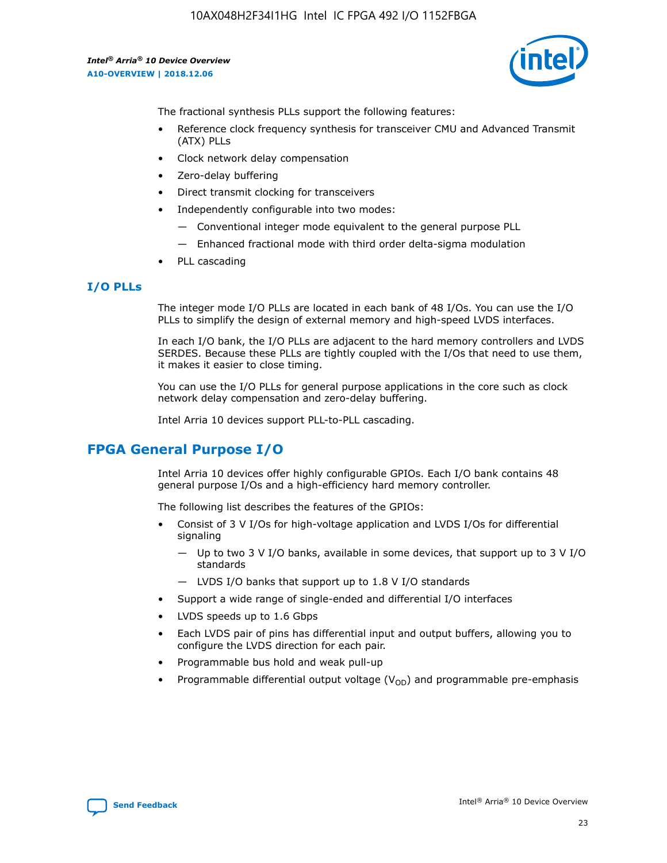

The fractional synthesis PLLs support the following features:

- Reference clock frequency synthesis for transceiver CMU and Advanced Transmit (ATX) PLLs
- Clock network delay compensation
- Zero-delay buffering
- Direct transmit clocking for transceivers
- Independently configurable into two modes:
	- Conventional integer mode equivalent to the general purpose PLL
	- Enhanced fractional mode with third order delta-sigma modulation
- PLL cascading

#### **I/O PLLs**

The integer mode I/O PLLs are located in each bank of 48 I/Os. You can use the I/O PLLs to simplify the design of external memory and high-speed LVDS interfaces.

In each I/O bank, the I/O PLLs are adjacent to the hard memory controllers and LVDS SERDES. Because these PLLs are tightly coupled with the I/Os that need to use them, it makes it easier to close timing.

You can use the I/O PLLs for general purpose applications in the core such as clock network delay compensation and zero-delay buffering.

Intel Arria 10 devices support PLL-to-PLL cascading.

## **FPGA General Purpose I/O**

Intel Arria 10 devices offer highly configurable GPIOs. Each I/O bank contains 48 general purpose I/Os and a high-efficiency hard memory controller.

The following list describes the features of the GPIOs:

- Consist of 3 V I/Os for high-voltage application and LVDS I/Os for differential signaling
	- Up to two 3 V I/O banks, available in some devices, that support up to 3 V I/O standards
	- LVDS I/O banks that support up to 1.8 V I/O standards
- Support a wide range of single-ended and differential I/O interfaces
- LVDS speeds up to 1.6 Gbps
- Each LVDS pair of pins has differential input and output buffers, allowing you to configure the LVDS direction for each pair.
- Programmable bus hold and weak pull-up
- Programmable differential output voltage  $(V_{OD})$  and programmable pre-emphasis

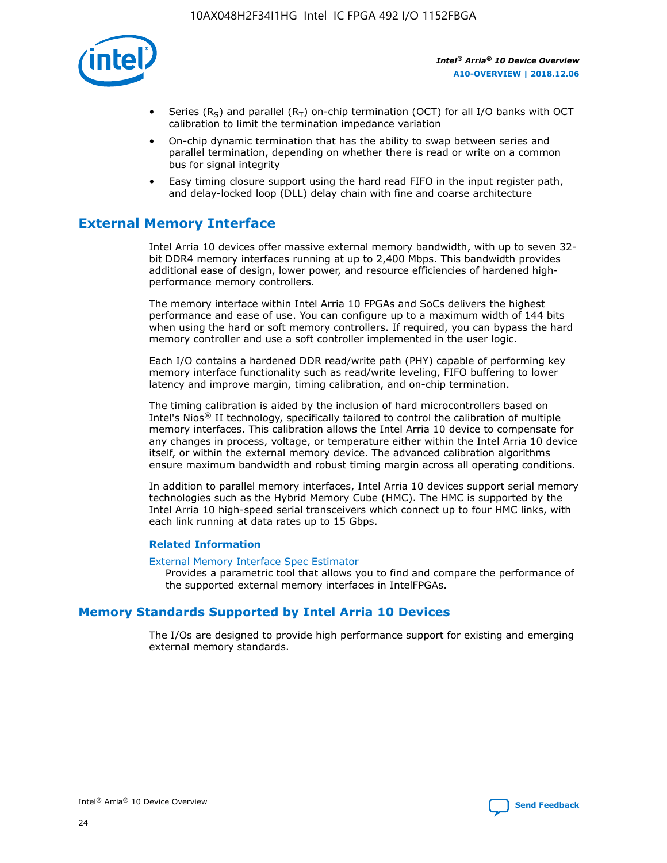

- Series (R<sub>S</sub>) and parallel (R<sub>T</sub>) on-chip termination (OCT) for all I/O banks with OCT calibration to limit the termination impedance variation
- On-chip dynamic termination that has the ability to swap between series and parallel termination, depending on whether there is read or write on a common bus for signal integrity
- Easy timing closure support using the hard read FIFO in the input register path, and delay-locked loop (DLL) delay chain with fine and coarse architecture

## **External Memory Interface**

Intel Arria 10 devices offer massive external memory bandwidth, with up to seven 32 bit DDR4 memory interfaces running at up to 2,400 Mbps. This bandwidth provides additional ease of design, lower power, and resource efficiencies of hardened highperformance memory controllers.

The memory interface within Intel Arria 10 FPGAs and SoCs delivers the highest performance and ease of use. You can configure up to a maximum width of 144 bits when using the hard or soft memory controllers. If required, you can bypass the hard memory controller and use a soft controller implemented in the user logic.

Each I/O contains a hardened DDR read/write path (PHY) capable of performing key memory interface functionality such as read/write leveling, FIFO buffering to lower latency and improve margin, timing calibration, and on-chip termination.

The timing calibration is aided by the inclusion of hard microcontrollers based on Intel's Nios® II technology, specifically tailored to control the calibration of multiple memory interfaces. This calibration allows the Intel Arria 10 device to compensate for any changes in process, voltage, or temperature either within the Intel Arria 10 device itself, or within the external memory device. The advanced calibration algorithms ensure maximum bandwidth and robust timing margin across all operating conditions.

In addition to parallel memory interfaces, Intel Arria 10 devices support serial memory technologies such as the Hybrid Memory Cube (HMC). The HMC is supported by the Intel Arria 10 high-speed serial transceivers which connect up to four HMC links, with each link running at data rates up to 15 Gbps.

#### **Related Information**

#### [External Memory Interface Spec Estimator](http://www.altera.com/technology/memory/estimator/mem-emif-index.html)

Provides a parametric tool that allows you to find and compare the performance of the supported external memory interfaces in IntelFPGAs.

## **Memory Standards Supported by Intel Arria 10 Devices**

The I/Os are designed to provide high performance support for existing and emerging external memory standards.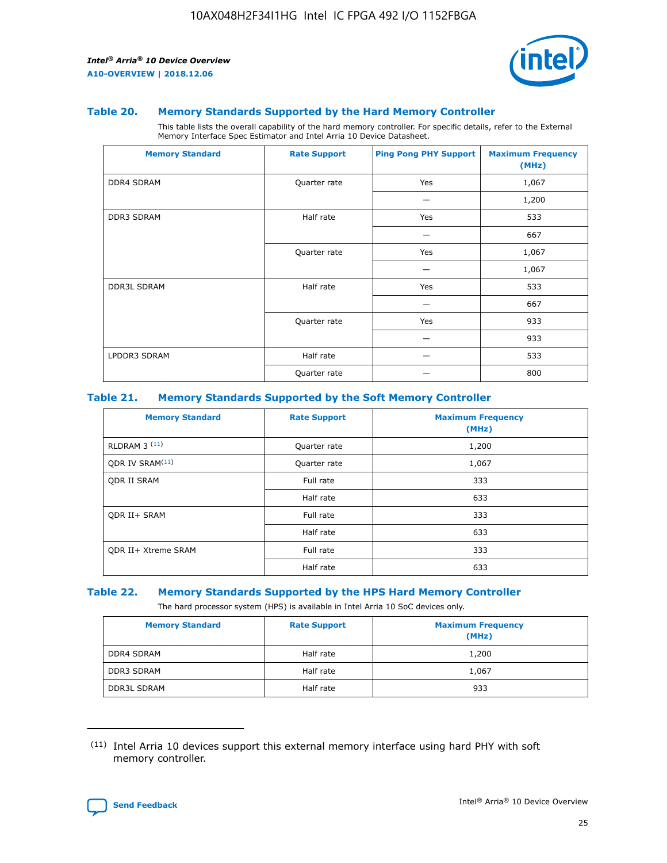

#### **Table 20. Memory Standards Supported by the Hard Memory Controller**

This table lists the overall capability of the hard memory controller. For specific details, refer to the External Memory Interface Spec Estimator and Intel Arria 10 Device Datasheet.

| <b>Memory Standard</b> | <b>Rate Support</b> | <b>Ping Pong PHY Support</b> | <b>Maximum Frequency</b><br>(MHz) |
|------------------------|---------------------|------------------------------|-----------------------------------|
| <b>DDR4 SDRAM</b>      | Quarter rate        | Yes                          | 1,067                             |
|                        |                     |                              | 1,200                             |
| <b>DDR3 SDRAM</b>      | Half rate           | Yes                          | 533                               |
|                        |                     |                              | 667                               |
|                        | Quarter rate        | Yes                          | 1,067                             |
|                        |                     |                              | 1,067                             |
| <b>DDR3L SDRAM</b>     | Half rate           | Yes                          | 533                               |
|                        |                     |                              | 667                               |
|                        | Quarter rate        | Yes                          | 933                               |
|                        |                     |                              | 933                               |
| LPDDR3 SDRAM           | Half rate           |                              | 533                               |
|                        | Quarter rate        |                              | 800                               |

#### **Table 21. Memory Standards Supported by the Soft Memory Controller**

| <b>Memory Standard</b>      | <b>Rate Support</b> | <b>Maximum Frequency</b><br>(MHz) |
|-----------------------------|---------------------|-----------------------------------|
| <b>RLDRAM 3 (11)</b>        | Quarter rate        | 1,200                             |
| ODR IV SRAM <sup>(11)</sup> | Quarter rate        | 1,067                             |
| <b>ODR II SRAM</b>          | Full rate           | 333                               |
|                             | Half rate           | 633                               |
| <b>ODR II+ SRAM</b>         | Full rate           | 333                               |
|                             | Half rate           | 633                               |
| <b>ODR II+ Xtreme SRAM</b>  | Full rate           | 333                               |
|                             | Half rate           | 633                               |

#### **Table 22. Memory Standards Supported by the HPS Hard Memory Controller**

The hard processor system (HPS) is available in Intel Arria 10 SoC devices only.

| <b>Memory Standard</b> | <b>Rate Support</b> | <b>Maximum Frequency</b><br>(MHz) |
|------------------------|---------------------|-----------------------------------|
| <b>DDR4 SDRAM</b>      | Half rate           | 1,200                             |
| <b>DDR3 SDRAM</b>      | Half rate           | 1,067                             |
| <b>DDR3L SDRAM</b>     | Half rate           | 933                               |

<sup>(11)</sup> Intel Arria 10 devices support this external memory interface using hard PHY with soft memory controller.

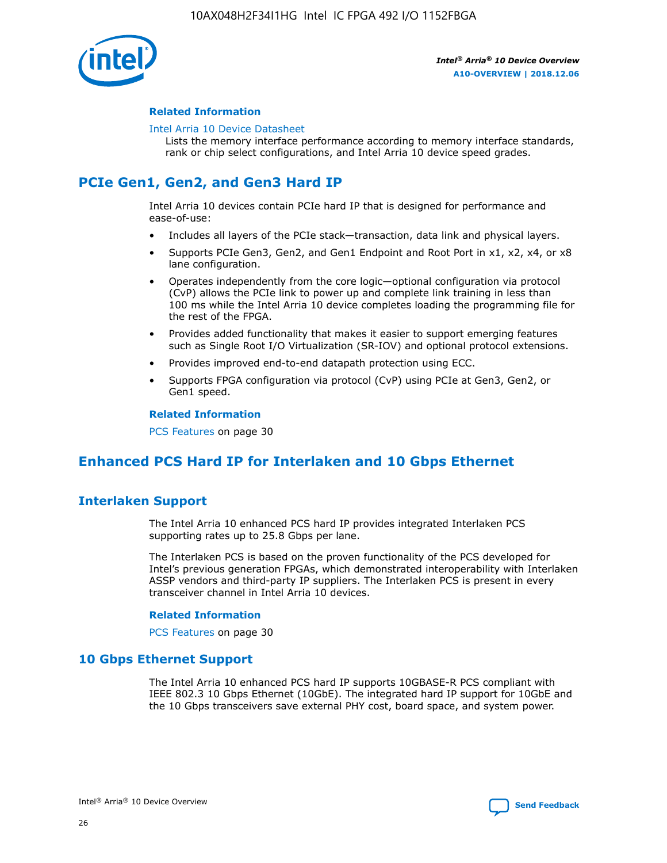

#### **Related Information**

#### [Intel Arria 10 Device Datasheet](https://www.intel.com/content/www/us/en/programmable/documentation/mcn1413182292568.html#mcn1413182153340)

Lists the memory interface performance according to memory interface standards, rank or chip select configurations, and Intel Arria 10 device speed grades.

## **PCIe Gen1, Gen2, and Gen3 Hard IP**

Intel Arria 10 devices contain PCIe hard IP that is designed for performance and ease-of-use:

- Includes all layers of the PCIe stack—transaction, data link and physical layers.
- Supports PCIe Gen3, Gen2, and Gen1 Endpoint and Root Port in x1, x2, x4, or x8 lane configuration.
- Operates independently from the core logic—optional configuration via protocol (CvP) allows the PCIe link to power up and complete link training in less than 100 ms while the Intel Arria 10 device completes loading the programming file for the rest of the FPGA.
- Provides added functionality that makes it easier to support emerging features such as Single Root I/O Virtualization (SR-IOV) and optional protocol extensions.
- Provides improved end-to-end datapath protection using ECC.
- Supports FPGA configuration via protocol (CvP) using PCIe at Gen3, Gen2, or Gen1 speed.

#### **Related Information**

PCS Features on page 30

## **Enhanced PCS Hard IP for Interlaken and 10 Gbps Ethernet**

## **Interlaken Support**

The Intel Arria 10 enhanced PCS hard IP provides integrated Interlaken PCS supporting rates up to 25.8 Gbps per lane.

The Interlaken PCS is based on the proven functionality of the PCS developed for Intel's previous generation FPGAs, which demonstrated interoperability with Interlaken ASSP vendors and third-party IP suppliers. The Interlaken PCS is present in every transceiver channel in Intel Arria 10 devices.

#### **Related Information**

PCS Features on page 30

#### **10 Gbps Ethernet Support**

The Intel Arria 10 enhanced PCS hard IP supports 10GBASE-R PCS compliant with IEEE 802.3 10 Gbps Ethernet (10GbE). The integrated hard IP support for 10GbE and the 10 Gbps transceivers save external PHY cost, board space, and system power.

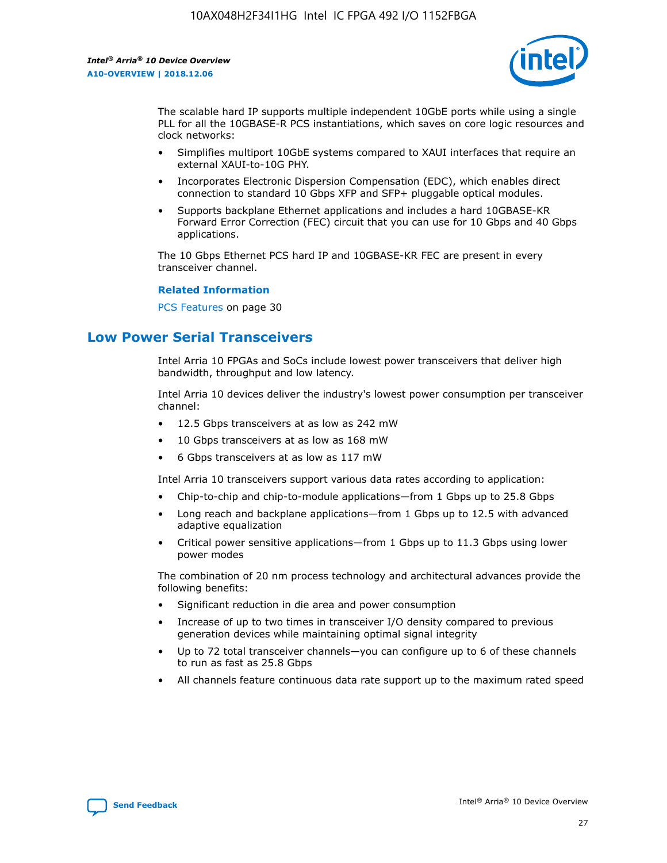

The scalable hard IP supports multiple independent 10GbE ports while using a single PLL for all the 10GBASE-R PCS instantiations, which saves on core logic resources and clock networks:

- Simplifies multiport 10GbE systems compared to XAUI interfaces that require an external XAUI-to-10G PHY.
- Incorporates Electronic Dispersion Compensation (EDC), which enables direct connection to standard 10 Gbps XFP and SFP+ pluggable optical modules.
- Supports backplane Ethernet applications and includes a hard 10GBASE-KR Forward Error Correction (FEC) circuit that you can use for 10 Gbps and 40 Gbps applications.

The 10 Gbps Ethernet PCS hard IP and 10GBASE-KR FEC are present in every transceiver channel.

#### **Related Information**

PCS Features on page 30

## **Low Power Serial Transceivers**

Intel Arria 10 FPGAs and SoCs include lowest power transceivers that deliver high bandwidth, throughput and low latency.

Intel Arria 10 devices deliver the industry's lowest power consumption per transceiver channel:

- 12.5 Gbps transceivers at as low as 242 mW
- 10 Gbps transceivers at as low as 168 mW
- 6 Gbps transceivers at as low as 117 mW

Intel Arria 10 transceivers support various data rates according to application:

- Chip-to-chip and chip-to-module applications—from 1 Gbps up to 25.8 Gbps
- Long reach and backplane applications—from 1 Gbps up to 12.5 with advanced adaptive equalization
- Critical power sensitive applications—from 1 Gbps up to 11.3 Gbps using lower power modes

The combination of 20 nm process technology and architectural advances provide the following benefits:

- Significant reduction in die area and power consumption
- Increase of up to two times in transceiver I/O density compared to previous generation devices while maintaining optimal signal integrity
- Up to 72 total transceiver channels—you can configure up to 6 of these channels to run as fast as 25.8 Gbps
- All channels feature continuous data rate support up to the maximum rated speed

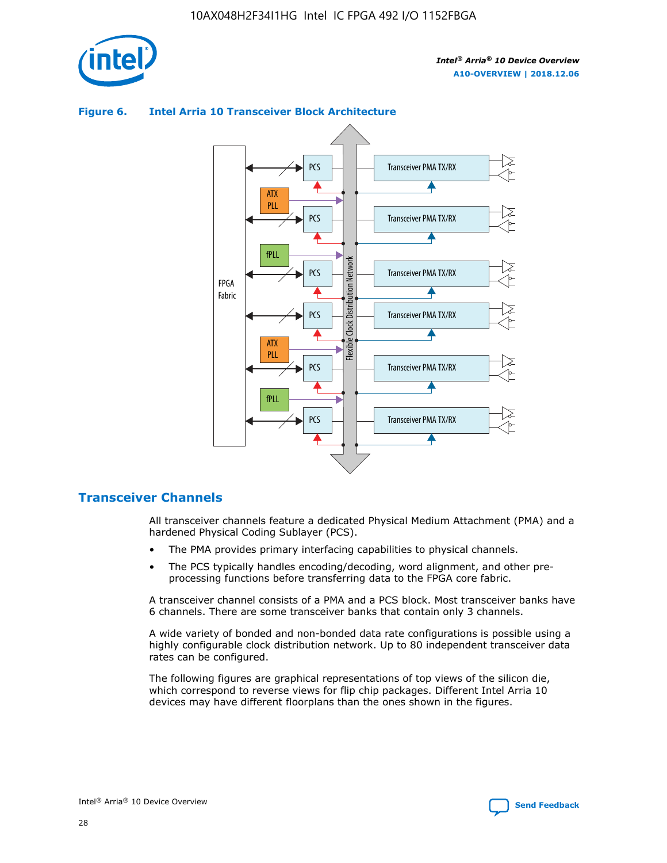

#### **Figure 6. Intel Arria 10 Transceiver Block Architecture**



## **Transceiver Channels**

All transceiver channels feature a dedicated Physical Medium Attachment (PMA) and a hardened Physical Coding Sublayer (PCS).

- The PMA provides primary interfacing capabilities to physical channels.
- The PCS typically handles encoding/decoding, word alignment, and other preprocessing functions before transferring data to the FPGA core fabric.

A transceiver channel consists of a PMA and a PCS block. Most transceiver banks have 6 channels. There are some transceiver banks that contain only 3 channels.

A wide variety of bonded and non-bonded data rate configurations is possible using a highly configurable clock distribution network. Up to 80 independent transceiver data rates can be configured.

The following figures are graphical representations of top views of the silicon die, which correspond to reverse views for flip chip packages. Different Intel Arria 10 devices may have different floorplans than the ones shown in the figures.

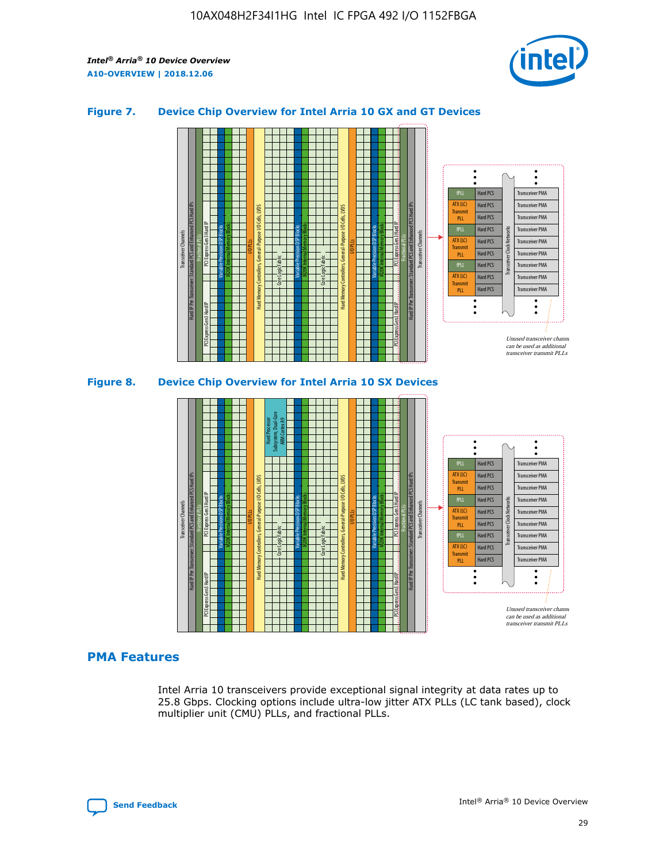

#### **Figure 7. Device Chip Overview for Intel Arria 10 GX and GT Devices**



#### **PMA Features**

Intel Arria 10 transceivers provide exceptional signal integrity at data rates up to 25.8 Gbps. Clocking options include ultra-low jitter ATX PLLs (LC tank based), clock multiplier unit (CMU) PLLs, and fractional PLLs.

Hard PCS Hard PCS Hard PCS Hard PCS Hard PCS

ATX (LC) Transmi PLL fPLL ATX (LC) **Transmit** PLL

Transceiver PMA Transceiver PMA Transceiver PMA

Transceiver PMA Transceiver PMA

Unused transceiver chann can be used as additional transceiver transmit PLLs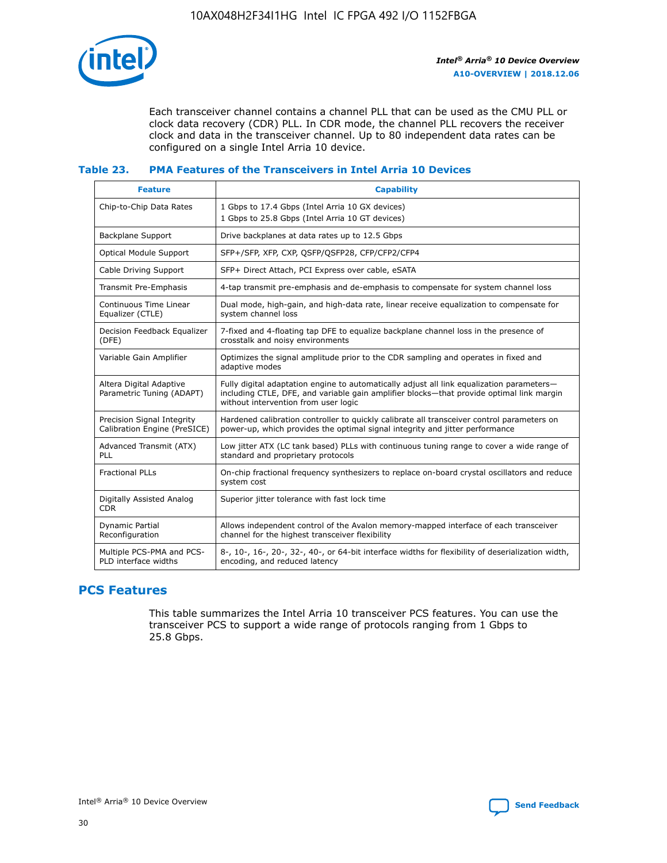

Each transceiver channel contains a channel PLL that can be used as the CMU PLL or clock data recovery (CDR) PLL. In CDR mode, the channel PLL recovers the receiver clock and data in the transceiver channel. Up to 80 independent data rates can be configured on a single Intel Arria 10 device.

#### **Table 23. PMA Features of the Transceivers in Intel Arria 10 Devices**

| <b>Feature</b>                                             | <b>Capability</b>                                                                                                                                                                                                             |
|------------------------------------------------------------|-------------------------------------------------------------------------------------------------------------------------------------------------------------------------------------------------------------------------------|
| Chip-to-Chip Data Rates                                    | 1 Gbps to 17.4 Gbps (Intel Arria 10 GX devices)<br>1 Gbps to 25.8 Gbps (Intel Arria 10 GT devices)                                                                                                                            |
| <b>Backplane Support</b>                                   | Drive backplanes at data rates up to 12.5 Gbps                                                                                                                                                                                |
| Optical Module Support                                     | SFP+/SFP, XFP, CXP, QSFP/QSFP28, CFP/CFP2/CFP4                                                                                                                                                                                |
| Cable Driving Support                                      | SFP+ Direct Attach, PCI Express over cable, eSATA                                                                                                                                                                             |
| Transmit Pre-Emphasis                                      | 4-tap transmit pre-emphasis and de-emphasis to compensate for system channel loss                                                                                                                                             |
| Continuous Time Linear<br>Equalizer (CTLE)                 | Dual mode, high-gain, and high-data rate, linear receive equalization to compensate for<br>system channel loss                                                                                                                |
| Decision Feedback Equalizer<br>(DFE)                       | 7-fixed and 4-floating tap DFE to equalize backplane channel loss in the presence of<br>crosstalk and noisy environments                                                                                                      |
| Variable Gain Amplifier                                    | Optimizes the signal amplitude prior to the CDR sampling and operates in fixed and<br>adaptive modes                                                                                                                          |
| Altera Digital Adaptive<br>Parametric Tuning (ADAPT)       | Fully digital adaptation engine to automatically adjust all link equalization parameters-<br>including CTLE, DFE, and variable gain amplifier blocks—that provide optimal link margin<br>without intervention from user logic |
| Precision Signal Integrity<br>Calibration Engine (PreSICE) | Hardened calibration controller to quickly calibrate all transceiver control parameters on<br>power-up, which provides the optimal signal integrity and jitter performance                                                    |
| Advanced Transmit (ATX)<br><b>PLL</b>                      | Low jitter ATX (LC tank based) PLLs with continuous tuning range to cover a wide range of<br>standard and proprietary protocols                                                                                               |
| <b>Fractional PLLs</b>                                     | On-chip fractional frequency synthesizers to replace on-board crystal oscillators and reduce<br>system cost                                                                                                                   |
| Digitally Assisted Analog<br><b>CDR</b>                    | Superior jitter tolerance with fast lock time                                                                                                                                                                                 |
| Dynamic Partial<br>Reconfiguration                         | Allows independent control of the Avalon memory-mapped interface of each transceiver<br>channel for the highest transceiver flexibility                                                                                       |
| Multiple PCS-PMA and PCS-<br>PLD interface widths          | 8-, 10-, 16-, 20-, 32-, 40-, or 64-bit interface widths for flexibility of deserialization width,<br>encoding, and reduced latency                                                                                            |

## **PCS Features**

This table summarizes the Intel Arria 10 transceiver PCS features. You can use the transceiver PCS to support a wide range of protocols ranging from 1 Gbps to 25.8 Gbps.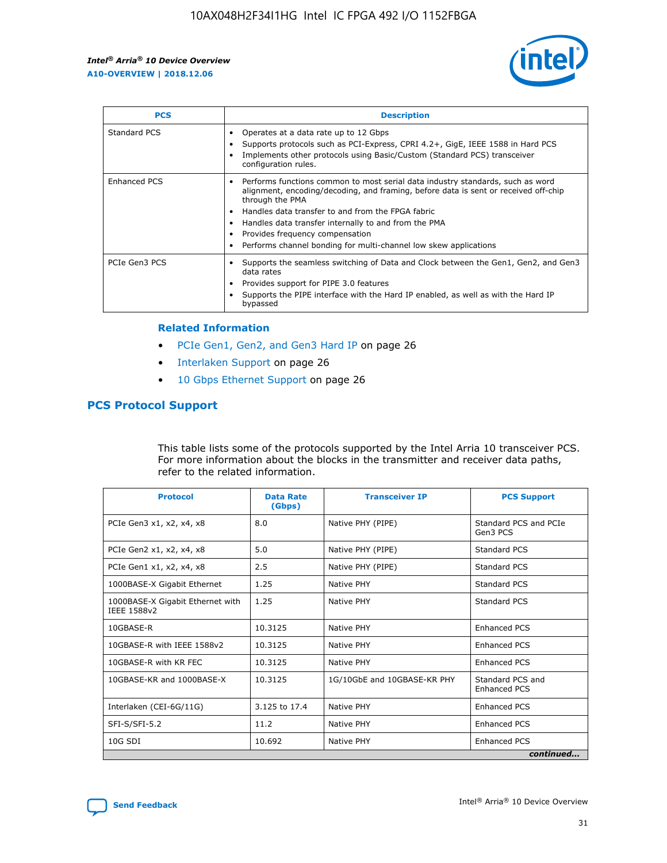

| <b>PCS</b>    | <b>Description</b>                                                                                                                                                                                                                                                                                                                                                                                             |
|---------------|----------------------------------------------------------------------------------------------------------------------------------------------------------------------------------------------------------------------------------------------------------------------------------------------------------------------------------------------------------------------------------------------------------------|
| Standard PCS  | Operates at a data rate up to 12 Gbps<br>Supports protocols such as PCI-Express, CPRI 4.2+, GigE, IEEE 1588 in Hard PCS<br>Implements other protocols using Basic/Custom (Standard PCS) transceiver<br>configuration rules.                                                                                                                                                                                    |
| Enhanced PCS  | Performs functions common to most serial data industry standards, such as word<br>alignment, encoding/decoding, and framing, before data is sent or received off-chip<br>through the PMA<br>• Handles data transfer to and from the FPGA fabric<br>Handles data transfer internally to and from the PMA<br>Provides frequency compensation<br>Performs channel bonding for multi-channel low skew applications |
| PCIe Gen3 PCS | Supports the seamless switching of Data and Clock between the Gen1, Gen2, and Gen3<br>data rates<br>Provides support for PIPE 3.0 features<br>Supports the PIPE interface with the Hard IP enabled, as well as with the Hard IP<br>bypassed                                                                                                                                                                    |

#### **Related Information**

- PCIe Gen1, Gen2, and Gen3 Hard IP on page 26
- Interlaken Support on page 26
- 10 Gbps Ethernet Support on page 26

## **PCS Protocol Support**

This table lists some of the protocols supported by the Intel Arria 10 transceiver PCS. For more information about the blocks in the transmitter and receiver data paths, refer to the related information.

| <b>Protocol</b>                                 | <b>Data Rate</b><br>(Gbps) | <b>Transceiver IP</b>       | <b>PCS Support</b>                      |
|-------------------------------------------------|----------------------------|-----------------------------|-----------------------------------------|
| PCIe Gen3 x1, x2, x4, x8                        | 8.0                        | Native PHY (PIPE)           | Standard PCS and PCIe<br>Gen3 PCS       |
| PCIe Gen2 x1, x2, x4, x8                        | 5.0                        | Native PHY (PIPE)           | <b>Standard PCS</b>                     |
| PCIe Gen1 x1, x2, x4, x8                        | 2.5                        | Native PHY (PIPE)           | Standard PCS                            |
| 1000BASE-X Gigabit Ethernet                     | 1.25                       | Native PHY                  | <b>Standard PCS</b>                     |
| 1000BASE-X Gigabit Ethernet with<br>IEEE 1588v2 | 1.25                       | Native PHY                  | Standard PCS                            |
| 10GBASE-R                                       | 10.3125                    | Native PHY                  | <b>Enhanced PCS</b>                     |
| 10GBASE-R with IEEE 1588v2                      | 10.3125                    | Native PHY                  | <b>Enhanced PCS</b>                     |
| 10GBASE-R with KR FEC                           | 10.3125                    | Native PHY                  | <b>Enhanced PCS</b>                     |
| 10GBASE-KR and 1000BASE-X                       | 10.3125                    | 1G/10GbE and 10GBASE-KR PHY | Standard PCS and<br><b>Enhanced PCS</b> |
| Interlaken (CEI-6G/11G)                         | 3.125 to 17.4              | Native PHY                  | <b>Enhanced PCS</b>                     |
| SFI-S/SFI-5.2                                   | 11.2                       | Native PHY                  | <b>Enhanced PCS</b>                     |
| $10G$ SDI                                       | 10.692                     | Native PHY                  | <b>Enhanced PCS</b>                     |
|                                                 |                            |                             | continued                               |

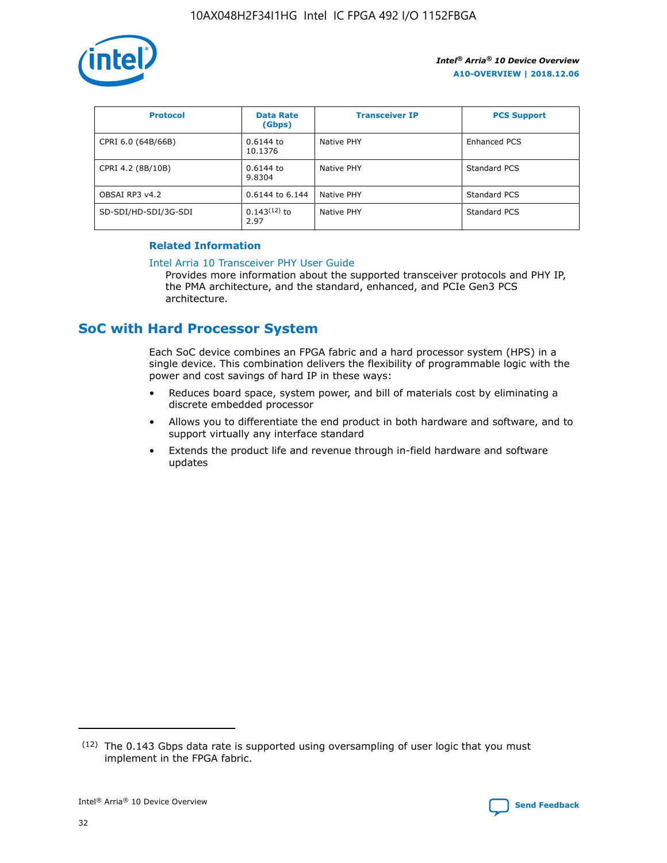

| <b>Protocol</b>      | <b>Data Rate</b><br>(Gbps) | <b>Transceiver IP</b> | <b>PCS Support</b> |
|----------------------|----------------------------|-----------------------|--------------------|
| CPRI 6.0 (64B/66B)   | 0.6144 to<br>10.1376       | Native PHY            | Enhanced PCS       |
| CPRI 4.2 (8B/10B)    | 0.6144 to<br>9.8304        | Native PHY            | Standard PCS       |
| OBSAI RP3 v4.2       | 0.6144 to 6.144            | Native PHY            | Standard PCS       |
| SD-SDI/HD-SDI/3G-SDI | $0.143(12)$ to<br>2.97     | Native PHY            | Standard PCS       |

#### **Related Information**

#### [Intel Arria 10 Transceiver PHY User Guide](https://www.intel.com/content/www/us/en/programmable/documentation/nik1398707230472.html#nik1398707091164)

Provides more information about the supported transceiver protocols and PHY IP, the PMA architecture, and the standard, enhanced, and PCIe Gen3 PCS architecture.

## **SoC with Hard Processor System**

Each SoC device combines an FPGA fabric and a hard processor system (HPS) in a single device. This combination delivers the flexibility of programmable logic with the power and cost savings of hard IP in these ways:

- Reduces board space, system power, and bill of materials cost by eliminating a discrete embedded processor
- Allows you to differentiate the end product in both hardware and software, and to support virtually any interface standard
- Extends the product life and revenue through in-field hardware and software updates

 $(12)$  The 0.143 Gbps data rate is supported using oversampling of user logic that you must implement in the FPGA fabric.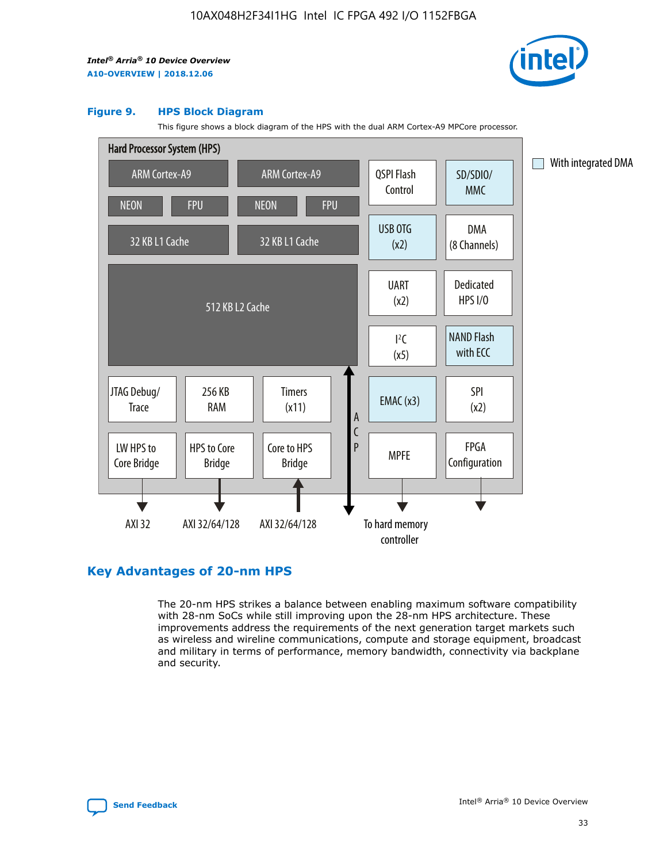

#### **Figure 9. HPS Block Diagram**

This figure shows a block diagram of the HPS with the dual ARM Cortex-A9 MPCore processor.



## **Key Advantages of 20-nm HPS**

The 20-nm HPS strikes a balance between enabling maximum software compatibility with 28-nm SoCs while still improving upon the 28-nm HPS architecture. These improvements address the requirements of the next generation target markets such as wireless and wireline communications, compute and storage equipment, broadcast and military in terms of performance, memory bandwidth, connectivity via backplane and security.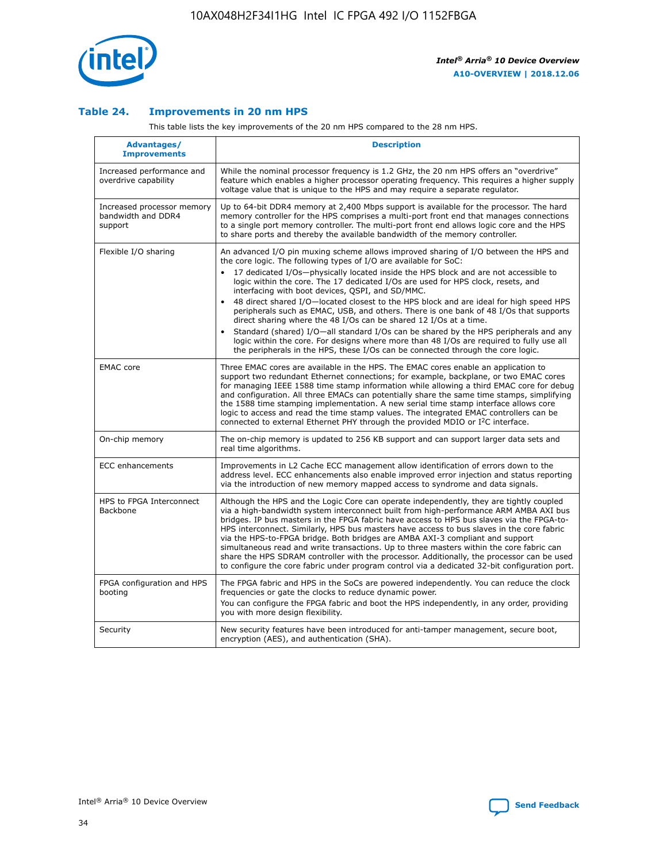

#### **Table 24. Improvements in 20 nm HPS**

This table lists the key improvements of the 20 nm HPS compared to the 28 nm HPS.

| Advantages/<br><b>Improvements</b>                          | <b>Description</b>                                                                                                                                                                                                                                                                                                                                                                                                                                                                                                                                                                                                                                                                                                                                                                                                                                                                                                      |
|-------------------------------------------------------------|-------------------------------------------------------------------------------------------------------------------------------------------------------------------------------------------------------------------------------------------------------------------------------------------------------------------------------------------------------------------------------------------------------------------------------------------------------------------------------------------------------------------------------------------------------------------------------------------------------------------------------------------------------------------------------------------------------------------------------------------------------------------------------------------------------------------------------------------------------------------------------------------------------------------------|
| Increased performance and<br>overdrive capability           | While the nominal processor frequency is 1.2 GHz, the 20 nm HPS offers an "overdrive"<br>feature which enables a higher processor operating frequency. This requires a higher supply<br>voltage value that is unique to the HPS and may require a separate regulator.                                                                                                                                                                                                                                                                                                                                                                                                                                                                                                                                                                                                                                                   |
| Increased processor memory<br>bandwidth and DDR4<br>support | Up to 64-bit DDR4 memory at 2,400 Mbps support is available for the processor. The hard<br>memory controller for the HPS comprises a multi-port front end that manages connections<br>to a single port memory controller. The multi-port front end allows logic core and the HPS<br>to share ports and thereby the available bandwidth of the memory controller.                                                                                                                                                                                                                                                                                                                                                                                                                                                                                                                                                        |
| Flexible I/O sharing                                        | An advanced I/O pin muxing scheme allows improved sharing of I/O between the HPS and<br>the core logic. The following types of I/O are available for SoC:<br>17 dedicated I/Os-physically located inside the HPS block and are not accessible to<br>logic within the core. The 17 dedicated I/Os are used for HPS clock, resets, and<br>interfacing with boot devices, QSPI, and SD/MMC.<br>48 direct shared I/O-located closest to the HPS block and are ideal for high speed HPS<br>peripherals such as EMAC, USB, and others. There is one bank of 48 I/Os that supports<br>direct sharing where the 48 I/Os can be shared 12 I/Os at a time.<br>Standard (shared) I/O—all standard I/Os can be shared by the HPS peripherals and any<br>logic within the core. For designs where more than 48 I/Os are required to fully use all<br>the peripherals in the HPS, these I/Os can be connected through the core logic. |
| <b>EMAC</b> core                                            | Three EMAC cores are available in the HPS. The EMAC cores enable an application to<br>support two redundant Ethernet connections; for example, backplane, or two EMAC cores<br>for managing IEEE 1588 time stamp information while allowing a third EMAC core for debug<br>and configuration. All three EMACs can potentially share the same time stamps, simplifying<br>the 1588 time stamping implementation. A new serial time stamp interface allows core<br>logic to access and read the time stamp values. The integrated EMAC controllers can be<br>connected to external Ethernet PHY through the provided MDIO or I <sup>2</sup> C interface.                                                                                                                                                                                                                                                                  |
| On-chip memory                                              | The on-chip memory is updated to 256 KB support and can support larger data sets and<br>real time algorithms.                                                                                                                                                                                                                                                                                                                                                                                                                                                                                                                                                                                                                                                                                                                                                                                                           |
| <b>ECC</b> enhancements                                     | Improvements in L2 Cache ECC management allow identification of errors down to the<br>address level. ECC enhancements also enable improved error injection and status reporting<br>via the introduction of new memory mapped access to syndrome and data signals.                                                                                                                                                                                                                                                                                                                                                                                                                                                                                                                                                                                                                                                       |
| HPS to FPGA Interconnect<br>Backbone                        | Although the HPS and the Logic Core can operate independently, they are tightly coupled<br>via a high-bandwidth system interconnect built from high-performance ARM AMBA AXI bus<br>bridges. IP bus masters in the FPGA fabric have access to HPS bus slaves via the FPGA-to-<br>HPS interconnect. Similarly, HPS bus masters have access to bus slaves in the core fabric<br>via the HPS-to-FPGA bridge. Both bridges are AMBA AXI-3 compliant and support<br>simultaneous read and write transactions. Up to three masters within the core fabric can<br>share the HPS SDRAM controller with the processor. Additionally, the processor can be used<br>to configure the core fabric under program control via a dedicated 32-bit configuration port.                                                                                                                                                                  |
| FPGA configuration and HPS<br>booting                       | The FPGA fabric and HPS in the SoCs are powered independently. You can reduce the clock<br>frequencies or gate the clocks to reduce dynamic power.<br>You can configure the FPGA fabric and boot the HPS independently, in any order, providing<br>you with more design flexibility.                                                                                                                                                                                                                                                                                                                                                                                                                                                                                                                                                                                                                                    |
| Security                                                    | New security features have been introduced for anti-tamper management, secure boot,<br>encryption (AES), and authentication (SHA).                                                                                                                                                                                                                                                                                                                                                                                                                                                                                                                                                                                                                                                                                                                                                                                      |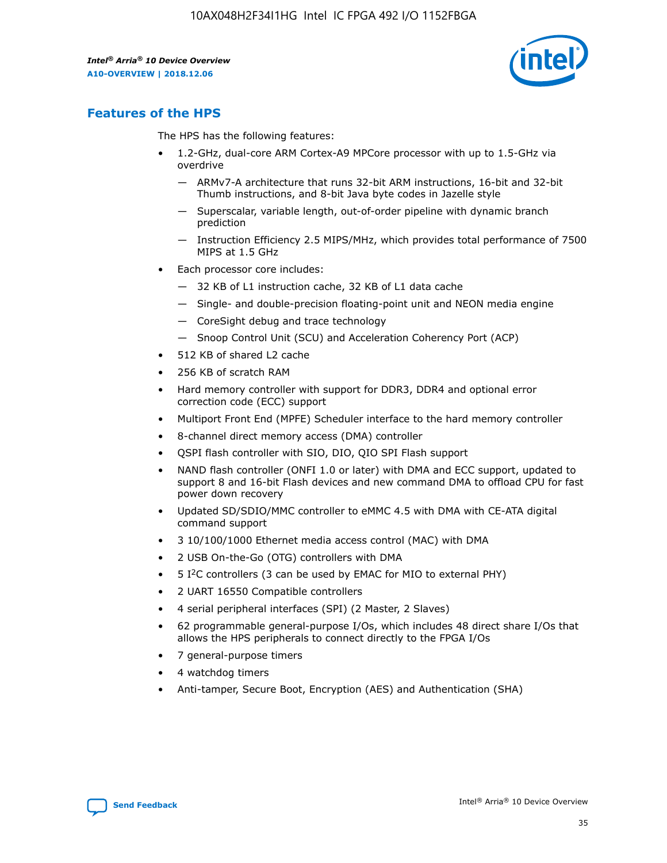

## **Features of the HPS**

The HPS has the following features:

- 1.2-GHz, dual-core ARM Cortex-A9 MPCore processor with up to 1.5-GHz via overdrive
	- ARMv7-A architecture that runs 32-bit ARM instructions, 16-bit and 32-bit Thumb instructions, and 8-bit Java byte codes in Jazelle style
	- Superscalar, variable length, out-of-order pipeline with dynamic branch prediction
	- Instruction Efficiency 2.5 MIPS/MHz, which provides total performance of 7500 MIPS at 1.5 GHz
- Each processor core includes:
	- 32 KB of L1 instruction cache, 32 KB of L1 data cache
	- Single- and double-precision floating-point unit and NEON media engine
	- CoreSight debug and trace technology
	- Snoop Control Unit (SCU) and Acceleration Coherency Port (ACP)
- 512 KB of shared L2 cache
- 256 KB of scratch RAM
- Hard memory controller with support for DDR3, DDR4 and optional error correction code (ECC) support
- Multiport Front End (MPFE) Scheduler interface to the hard memory controller
- 8-channel direct memory access (DMA) controller
- QSPI flash controller with SIO, DIO, QIO SPI Flash support
- NAND flash controller (ONFI 1.0 or later) with DMA and ECC support, updated to support 8 and 16-bit Flash devices and new command DMA to offload CPU for fast power down recovery
- Updated SD/SDIO/MMC controller to eMMC 4.5 with DMA with CE-ATA digital command support
- 3 10/100/1000 Ethernet media access control (MAC) with DMA
- 2 USB On-the-Go (OTG) controllers with DMA
- $\bullet$  5 I<sup>2</sup>C controllers (3 can be used by EMAC for MIO to external PHY)
- 2 UART 16550 Compatible controllers
- 4 serial peripheral interfaces (SPI) (2 Master, 2 Slaves)
- 62 programmable general-purpose I/Os, which includes 48 direct share I/Os that allows the HPS peripherals to connect directly to the FPGA I/Os
- 7 general-purpose timers
- 4 watchdog timers
- Anti-tamper, Secure Boot, Encryption (AES) and Authentication (SHA)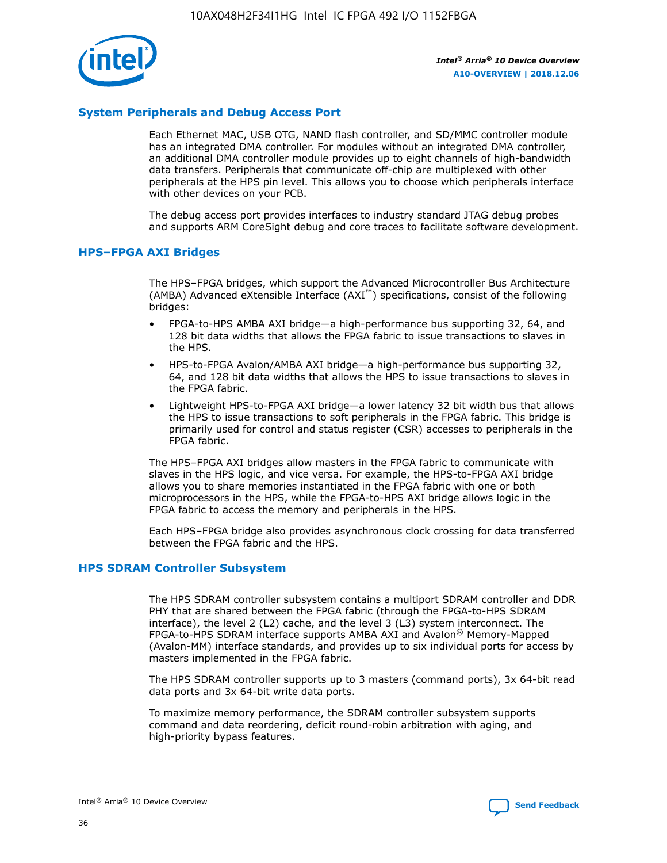

#### **System Peripherals and Debug Access Port**

Each Ethernet MAC, USB OTG, NAND flash controller, and SD/MMC controller module has an integrated DMA controller. For modules without an integrated DMA controller, an additional DMA controller module provides up to eight channels of high-bandwidth data transfers. Peripherals that communicate off-chip are multiplexed with other peripherals at the HPS pin level. This allows you to choose which peripherals interface with other devices on your PCB.

The debug access port provides interfaces to industry standard JTAG debug probes and supports ARM CoreSight debug and core traces to facilitate software development.

#### **HPS–FPGA AXI Bridges**

The HPS–FPGA bridges, which support the Advanced Microcontroller Bus Architecture (AMBA) Advanced eXtensible Interface (AXI™) specifications, consist of the following bridges:

- FPGA-to-HPS AMBA AXI bridge—a high-performance bus supporting 32, 64, and 128 bit data widths that allows the FPGA fabric to issue transactions to slaves in the HPS.
- HPS-to-FPGA Avalon/AMBA AXI bridge—a high-performance bus supporting 32, 64, and 128 bit data widths that allows the HPS to issue transactions to slaves in the FPGA fabric.
- Lightweight HPS-to-FPGA AXI bridge—a lower latency 32 bit width bus that allows the HPS to issue transactions to soft peripherals in the FPGA fabric. This bridge is primarily used for control and status register (CSR) accesses to peripherals in the FPGA fabric.

The HPS–FPGA AXI bridges allow masters in the FPGA fabric to communicate with slaves in the HPS logic, and vice versa. For example, the HPS-to-FPGA AXI bridge allows you to share memories instantiated in the FPGA fabric with one or both microprocessors in the HPS, while the FPGA-to-HPS AXI bridge allows logic in the FPGA fabric to access the memory and peripherals in the HPS.

Each HPS–FPGA bridge also provides asynchronous clock crossing for data transferred between the FPGA fabric and the HPS.

#### **HPS SDRAM Controller Subsystem**

The HPS SDRAM controller subsystem contains a multiport SDRAM controller and DDR PHY that are shared between the FPGA fabric (through the FPGA-to-HPS SDRAM interface), the level 2 (L2) cache, and the level 3 (L3) system interconnect. The FPGA-to-HPS SDRAM interface supports AMBA AXI and Avalon® Memory-Mapped (Avalon-MM) interface standards, and provides up to six individual ports for access by masters implemented in the FPGA fabric.

The HPS SDRAM controller supports up to 3 masters (command ports), 3x 64-bit read data ports and 3x 64-bit write data ports.

To maximize memory performance, the SDRAM controller subsystem supports command and data reordering, deficit round-robin arbitration with aging, and high-priority bypass features.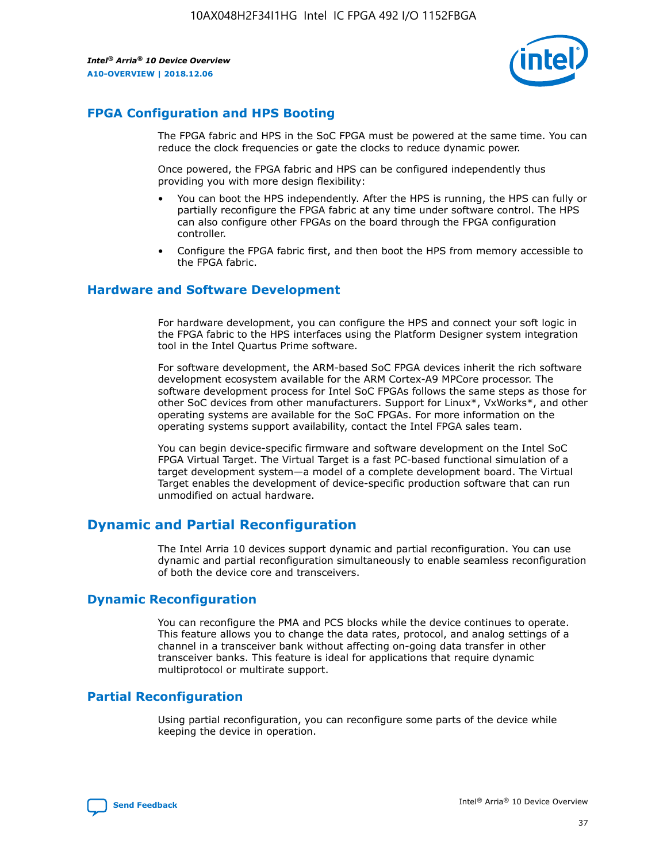

## **FPGA Configuration and HPS Booting**

The FPGA fabric and HPS in the SoC FPGA must be powered at the same time. You can reduce the clock frequencies or gate the clocks to reduce dynamic power.

Once powered, the FPGA fabric and HPS can be configured independently thus providing you with more design flexibility:

- You can boot the HPS independently. After the HPS is running, the HPS can fully or partially reconfigure the FPGA fabric at any time under software control. The HPS can also configure other FPGAs on the board through the FPGA configuration controller.
- Configure the FPGA fabric first, and then boot the HPS from memory accessible to the FPGA fabric.

#### **Hardware and Software Development**

For hardware development, you can configure the HPS and connect your soft logic in the FPGA fabric to the HPS interfaces using the Platform Designer system integration tool in the Intel Quartus Prime software.

For software development, the ARM-based SoC FPGA devices inherit the rich software development ecosystem available for the ARM Cortex-A9 MPCore processor. The software development process for Intel SoC FPGAs follows the same steps as those for other SoC devices from other manufacturers. Support for Linux\*, VxWorks\*, and other operating systems are available for the SoC FPGAs. For more information on the operating systems support availability, contact the Intel FPGA sales team.

You can begin device-specific firmware and software development on the Intel SoC FPGA Virtual Target. The Virtual Target is a fast PC-based functional simulation of a target development system—a model of a complete development board. The Virtual Target enables the development of device-specific production software that can run unmodified on actual hardware.

## **Dynamic and Partial Reconfiguration**

The Intel Arria 10 devices support dynamic and partial reconfiguration. You can use dynamic and partial reconfiguration simultaneously to enable seamless reconfiguration of both the device core and transceivers.

## **Dynamic Reconfiguration**

You can reconfigure the PMA and PCS blocks while the device continues to operate. This feature allows you to change the data rates, protocol, and analog settings of a channel in a transceiver bank without affecting on-going data transfer in other transceiver banks. This feature is ideal for applications that require dynamic multiprotocol or multirate support.

## **Partial Reconfiguration**

Using partial reconfiguration, you can reconfigure some parts of the device while keeping the device in operation.

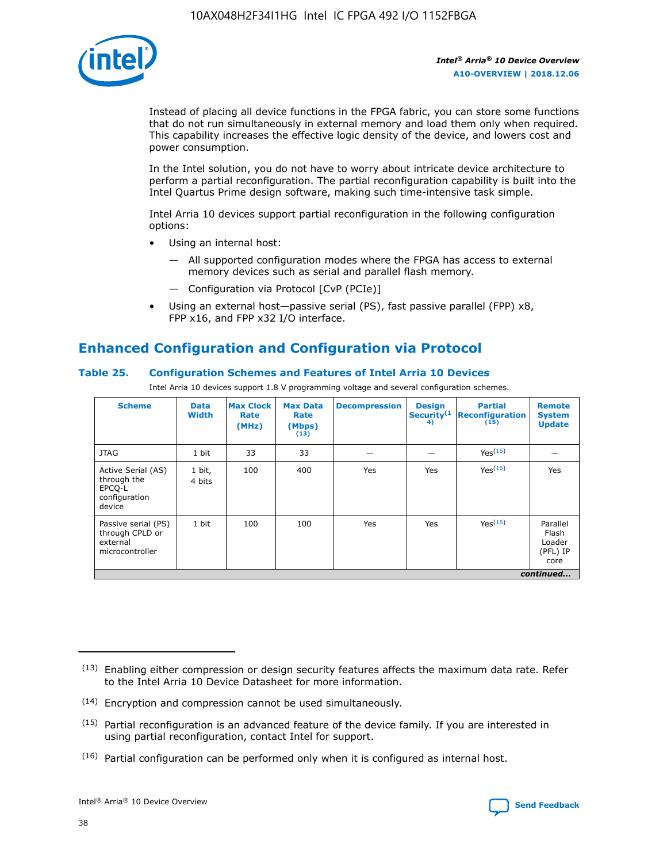

Instead of placing all device functions in the FPGA fabric, you can store some functions that do not run simultaneously in external memory and load them only when required. This capability increases the effective logic density of the device, and lowers cost and power consumption.

In the Intel solution, you do not have to worry about intricate device architecture to perform a partial reconfiguration. The partial reconfiguration capability is built into the Intel Quartus Prime design software, making such time-intensive task simple.

Intel Arria 10 devices support partial reconfiguration in the following configuration options:

- Using an internal host:
	- All supported configuration modes where the FPGA has access to external memory devices such as serial and parallel flash memory.
	- Configuration via Protocol [CvP (PCIe)]
- Using an external host—passive serial (PS), fast passive parallel (FPP) x8, FPP x16, and FPP x32 I/O interface.

## **Enhanced Configuration and Configuration via Protocol**

#### **Table 25. Configuration Schemes and Features of Intel Arria 10 Devices**

Intel Arria 10 devices support 1.8 V programming voltage and several configuration schemes.

| <b>Scheme</b>                                                          | <b>Data</b><br><b>Width</b> | <b>Max Clock</b><br>Rate<br>(MHz) | <b>Max Data</b><br>Rate<br>(Mbps)<br>(13) | <b>Decompression</b> | <b>Design</b><br>Security <sup>(1</sup><br>4) | <b>Partial</b><br>Reconfiguration<br>(15) | <b>Remote</b><br><b>System</b><br><b>Update</b> |
|------------------------------------------------------------------------|-----------------------------|-----------------------------------|-------------------------------------------|----------------------|-----------------------------------------------|-------------------------------------------|-------------------------------------------------|
| <b>JTAG</b>                                                            | 1 bit                       | 33                                | 33                                        |                      |                                               | Yes(16)                                   |                                                 |
| Active Serial (AS)<br>through the<br>EPCO-L<br>configuration<br>device | 1 bit,<br>4 bits            | 100                               | 400                                       | Yes                  | Yes                                           | Yes(16)                                   | Yes                                             |
| Passive serial (PS)<br>through CPLD or<br>external<br>microcontroller  | 1 bit                       | 100                               | 100                                       | Yes                  | Yes                                           | Yes <sup>(16)</sup>                       | Parallel<br>Flash<br>Loader<br>(PFL) IP<br>core |
|                                                                        | continued                   |                                   |                                           |                      |                                               |                                           |                                                 |

<sup>(13)</sup> Enabling either compression or design security features affects the maximum data rate. Refer to the Intel Arria 10 Device Datasheet for more information.

<sup>(14)</sup> Encryption and compression cannot be used simultaneously.

 $(15)$  Partial reconfiguration is an advanced feature of the device family. If you are interested in using partial reconfiguration, contact Intel for support.

 $(16)$  Partial configuration can be performed only when it is configured as internal host.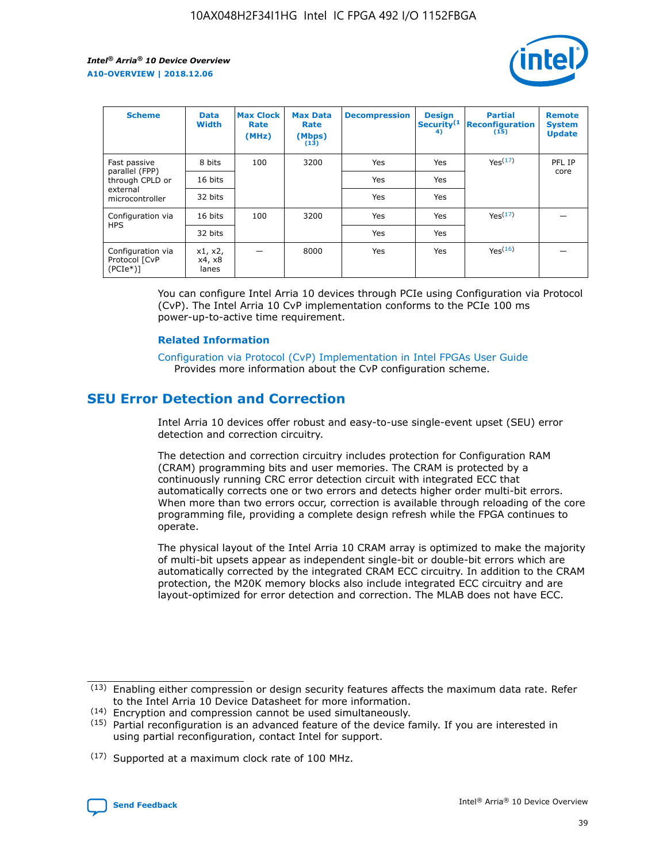

| <b>Scheme</b>                                   | <b>Data</b><br><b>Width</b> | <b>Max Clock</b><br>Rate<br>(MHz) | <b>Max Data</b><br>Rate<br>(Mbps)<br>(13) | <b>Decompression</b> | <b>Design</b><br>Security <sup>(1</sup><br>4) | <b>Partial</b><br><b>Reconfiguration</b><br>(15) | <b>Remote</b><br><b>System</b><br><b>Update</b> |
|-------------------------------------------------|-----------------------------|-----------------------------------|-------------------------------------------|----------------------|-----------------------------------------------|--------------------------------------------------|-------------------------------------------------|
| Fast passive                                    | 8 bits                      | 100                               | 3200                                      | Yes                  | Yes                                           | Yes(17)                                          | PFL IP                                          |
| parallel (FPP)<br>through CPLD or               | 16 bits                     |                                   |                                           | Yes                  | Yes                                           |                                                  | core                                            |
| external<br>microcontroller                     | 32 bits                     |                                   |                                           | Yes                  | Yes                                           |                                                  |                                                 |
| Configuration via                               | 16 bits                     | 100                               | 3200                                      | Yes                  | Yes                                           | Yes <sup>(17)</sup>                              |                                                 |
| <b>HPS</b>                                      | 32 bits                     |                                   |                                           | Yes                  | Yes                                           |                                                  |                                                 |
| Configuration via<br>Protocol [CvP<br>$(PCIe*)$ | x1, x2,<br>x4, x8<br>lanes  |                                   | 8000                                      | Yes                  | Yes                                           | Yes <sup>(16)</sup>                              |                                                 |

You can configure Intel Arria 10 devices through PCIe using Configuration via Protocol (CvP). The Intel Arria 10 CvP implementation conforms to the PCIe 100 ms power-up-to-active time requirement.

#### **Related Information**

[Configuration via Protocol \(CvP\) Implementation in Intel FPGAs User Guide](https://www.intel.com/content/www/us/en/programmable/documentation/dsu1441819344145.html#dsu1442269728522) Provides more information about the CvP configuration scheme.

## **SEU Error Detection and Correction**

Intel Arria 10 devices offer robust and easy-to-use single-event upset (SEU) error detection and correction circuitry.

The detection and correction circuitry includes protection for Configuration RAM (CRAM) programming bits and user memories. The CRAM is protected by a continuously running CRC error detection circuit with integrated ECC that automatically corrects one or two errors and detects higher order multi-bit errors. When more than two errors occur, correction is available through reloading of the core programming file, providing a complete design refresh while the FPGA continues to operate.

The physical layout of the Intel Arria 10 CRAM array is optimized to make the majority of multi-bit upsets appear as independent single-bit or double-bit errors which are automatically corrected by the integrated CRAM ECC circuitry. In addition to the CRAM protection, the M20K memory blocks also include integrated ECC circuitry and are layout-optimized for error detection and correction. The MLAB does not have ECC.

(14) Encryption and compression cannot be used simultaneously.

<sup>(17)</sup> Supported at a maximum clock rate of 100 MHz.



 $(13)$  Enabling either compression or design security features affects the maximum data rate. Refer to the Intel Arria 10 Device Datasheet for more information.

 $(15)$  Partial reconfiguration is an advanced feature of the device family. If you are interested in using partial reconfiguration, contact Intel for support.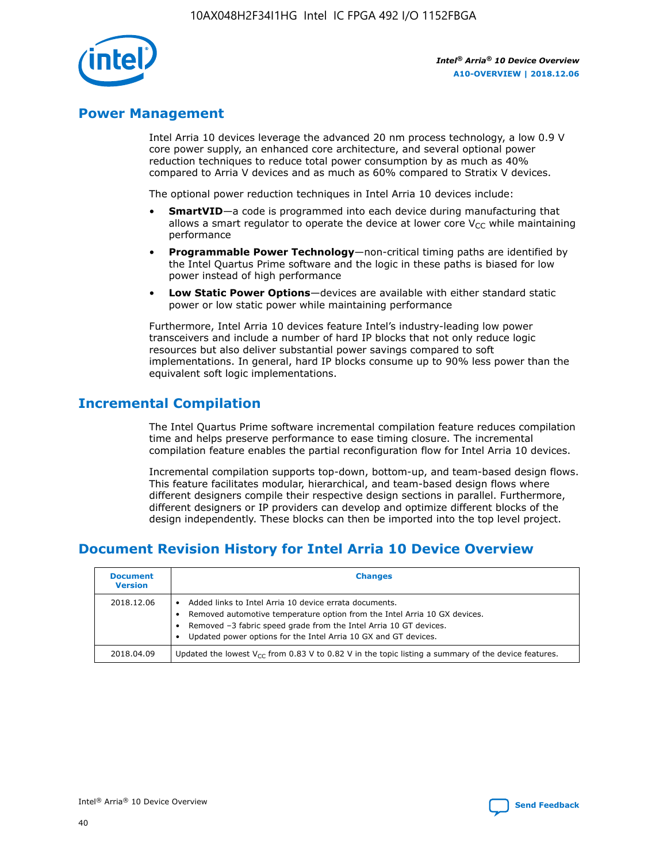

## **Power Management**

Intel Arria 10 devices leverage the advanced 20 nm process technology, a low 0.9 V core power supply, an enhanced core architecture, and several optional power reduction techniques to reduce total power consumption by as much as 40% compared to Arria V devices and as much as 60% compared to Stratix V devices.

The optional power reduction techniques in Intel Arria 10 devices include:

- **SmartVID**—a code is programmed into each device during manufacturing that allows a smart regulator to operate the device at lower core  $V_{CC}$  while maintaining performance
- **Programmable Power Technology**—non-critical timing paths are identified by the Intel Quartus Prime software and the logic in these paths is biased for low power instead of high performance
- **Low Static Power Options**—devices are available with either standard static power or low static power while maintaining performance

Furthermore, Intel Arria 10 devices feature Intel's industry-leading low power transceivers and include a number of hard IP blocks that not only reduce logic resources but also deliver substantial power savings compared to soft implementations. In general, hard IP blocks consume up to 90% less power than the equivalent soft logic implementations.

## **Incremental Compilation**

The Intel Quartus Prime software incremental compilation feature reduces compilation time and helps preserve performance to ease timing closure. The incremental compilation feature enables the partial reconfiguration flow for Intel Arria 10 devices.

Incremental compilation supports top-down, bottom-up, and team-based design flows. This feature facilitates modular, hierarchical, and team-based design flows where different designers compile their respective design sections in parallel. Furthermore, different designers or IP providers can develop and optimize different blocks of the design independently. These blocks can then be imported into the top level project.

## **Document Revision History for Intel Arria 10 Device Overview**

| <b>Document</b><br><b>Version</b> | <b>Changes</b>                                                                                                                                                                                                                                                              |
|-----------------------------------|-----------------------------------------------------------------------------------------------------------------------------------------------------------------------------------------------------------------------------------------------------------------------------|
| 2018.12.06                        | Added links to Intel Arria 10 device errata documents.<br>Removed automotive temperature option from the Intel Arria 10 GX devices.<br>Removed -3 fabric speed grade from the Intel Arria 10 GT devices.<br>Updated power options for the Intel Arria 10 GX and GT devices. |
| 2018.04.09                        | Updated the lowest $V_{CC}$ from 0.83 V to 0.82 V in the topic listing a summary of the device features.                                                                                                                                                                    |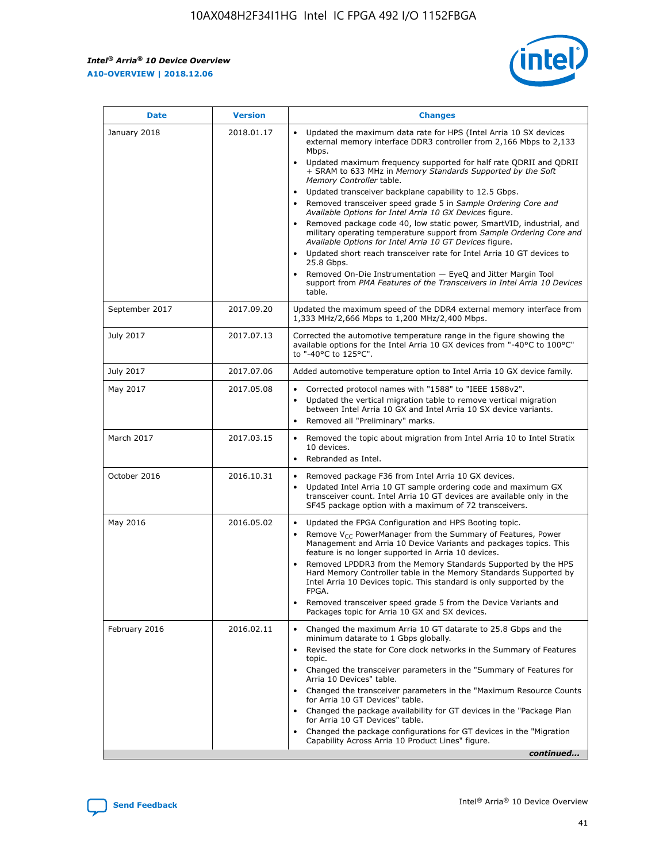*Intel® Arria® 10 Device Overview* **A10-OVERVIEW | 2018.12.06**



| <b>Date</b>    | <b>Version</b> | <b>Changes</b>                                                                                                                                                                                                                                                                                                                                                                                                                                                                                                                                                                                                                                                                                                                                                                                                                                                                                                                                                                         |
|----------------|----------------|----------------------------------------------------------------------------------------------------------------------------------------------------------------------------------------------------------------------------------------------------------------------------------------------------------------------------------------------------------------------------------------------------------------------------------------------------------------------------------------------------------------------------------------------------------------------------------------------------------------------------------------------------------------------------------------------------------------------------------------------------------------------------------------------------------------------------------------------------------------------------------------------------------------------------------------------------------------------------------------|
| January 2018   | 2018.01.17     | Updated the maximum data rate for HPS (Intel Arria 10 SX devices<br>external memory interface DDR3 controller from 2,166 Mbps to 2,133<br>Mbps.<br>Updated maximum frequency supported for half rate QDRII and QDRII<br>+ SRAM to 633 MHz in Memory Standards Supported by the Soft<br>Memory Controller table.<br>Updated transceiver backplane capability to 12.5 Gbps.<br>$\bullet$<br>Removed transceiver speed grade 5 in Sample Ordering Core and<br>$\bullet$<br>Available Options for Intel Arria 10 GX Devices figure.<br>Removed package code 40, low static power, SmartVID, industrial, and<br>military operating temperature support from Sample Ordering Core and<br>Available Options for Intel Arria 10 GT Devices figure.<br>Updated short reach transceiver rate for Intel Arria 10 GT devices to<br>25.8 Gbps.<br>Removed On-Die Instrumentation - EyeQ and Jitter Margin Tool<br>support from PMA Features of the Transceivers in Intel Arria 10 Devices<br>table. |
| September 2017 | 2017.09.20     | Updated the maximum speed of the DDR4 external memory interface from<br>1,333 MHz/2,666 Mbps to 1,200 MHz/2,400 Mbps.                                                                                                                                                                                                                                                                                                                                                                                                                                                                                                                                                                                                                                                                                                                                                                                                                                                                  |
| July 2017      | 2017.07.13     | Corrected the automotive temperature range in the figure showing the<br>available options for the Intel Arria 10 GX devices from "-40°C to 100°C"<br>to "-40°C to 125°C".                                                                                                                                                                                                                                                                                                                                                                                                                                                                                                                                                                                                                                                                                                                                                                                                              |
| July 2017      | 2017.07.06     | Added automotive temperature option to Intel Arria 10 GX device family.                                                                                                                                                                                                                                                                                                                                                                                                                                                                                                                                                                                                                                                                                                                                                                                                                                                                                                                |
| May 2017       | 2017.05.08     | Corrected protocol names with "1588" to "IEEE 1588v2".<br>$\bullet$<br>Updated the vertical migration table to remove vertical migration<br>$\bullet$<br>between Intel Arria 10 GX and Intel Arria 10 SX device variants.<br>Removed all "Preliminary" marks.<br>$\bullet$                                                                                                                                                                                                                                                                                                                                                                                                                                                                                                                                                                                                                                                                                                             |
| March 2017     | 2017.03.15     | Removed the topic about migration from Intel Arria 10 to Intel Stratix<br>$\bullet$<br>10 devices.<br>Rebranded as Intel.<br>$\bullet$                                                                                                                                                                                                                                                                                                                                                                                                                                                                                                                                                                                                                                                                                                                                                                                                                                                 |
| October 2016   | 2016.10.31     | Removed package F36 from Intel Arria 10 GX devices.<br>Updated Intel Arria 10 GT sample ordering code and maximum GX<br>$\bullet$<br>transceiver count. Intel Arria 10 GT devices are available only in the<br>SF45 package option with a maximum of 72 transceivers.                                                                                                                                                                                                                                                                                                                                                                                                                                                                                                                                                                                                                                                                                                                  |
| May 2016       | 2016.05.02     | Updated the FPGA Configuration and HPS Booting topic.<br>$\bullet$<br>Remove V <sub>CC</sub> PowerManager from the Summary of Features, Power<br>Management and Arria 10 Device Variants and packages topics. This<br>feature is no longer supported in Arria 10 devices.<br>Removed LPDDR3 from the Memory Standards Supported by the HPS<br>Hard Memory Controller table in the Memory Standards Supported by<br>Intel Arria 10 Devices topic. This standard is only supported by the<br>FPGA.<br>Removed transceiver speed grade 5 from the Device Variants and<br>Packages topic for Arria 10 GX and SX devices.                                                                                                                                                                                                                                                                                                                                                                   |
| February 2016  | 2016.02.11     | Changed the maximum Arria 10 GT datarate to 25.8 Gbps and the<br>minimum datarate to 1 Gbps globally.<br>Revised the state for Core clock networks in the Summary of Features<br>$\bullet$<br>topic.<br>Changed the transceiver parameters in the "Summary of Features for<br>$\bullet$<br>Arria 10 Devices" table.<br>• Changed the transceiver parameters in the "Maximum Resource Counts<br>for Arria 10 GT Devices" table.<br>Changed the package availability for GT devices in the "Package Plan<br>for Arria 10 GT Devices" table.<br>Changed the package configurations for GT devices in the "Migration"<br>Capability Across Arria 10 Product Lines" figure.<br>continued                                                                                                                                                                                                                                                                                                    |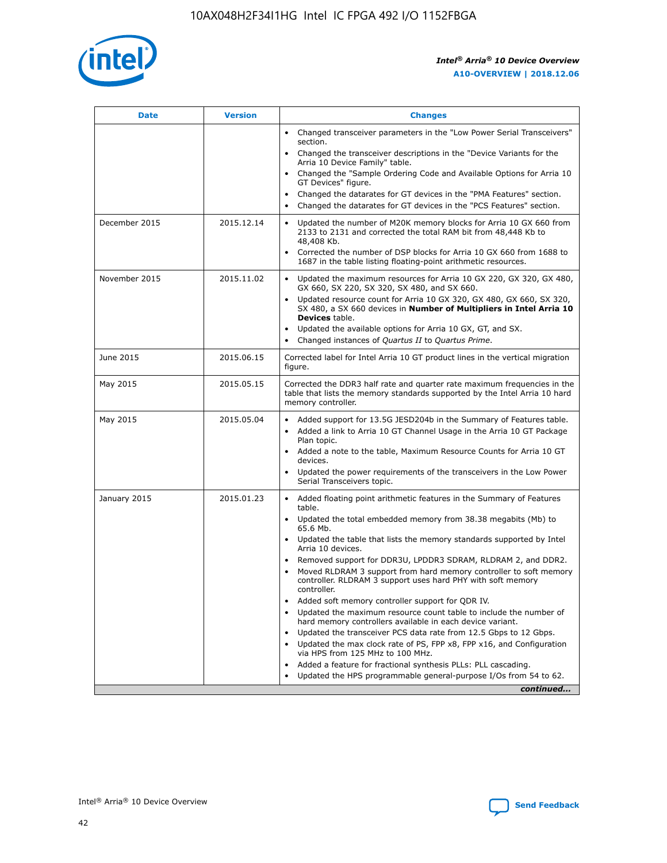

| <b>Date</b>   | <b>Version</b> | <b>Changes</b>                                                                                                                                                               |
|---------------|----------------|------------------------------------------------------------------------------------------------------------------------------------------------------------------------------|
|               |                | • Changed transceiver parameters in the "Low Power Serial Transceivers"<br>section.                                                                                          |
|               |                | • Changed the transceiver descriptions in the "Device Variants for the<br>Arria 10 Device Family" table.                                                                     |
|               |                | Changed the "Sample Ordering Code and Available Options for Arria 10<br>$\bullet$<br>GT Devices" figure.                                                                     |
|               |                | Changed the datarates for GT devices in the "PMA Features" section.                                                                                                          |
|               |                | Changed the datarates for GT devices in the "PCS Features" section.<br>$\bullet$                                                                                             |
| December 2015 | 2015.12.14     | Updated the number of M20K memory blocks for Arria 10 GX 660 from<br>2133 to 2131 and corrected the total RAM bit from 48,448 Kb to<br>48,408 Kb.                            |
|               |                | Corrected the number of DSP blocks for Arria 10 GX 660 from 1688 to<br>1687 in the table listing floating-point arithmetic resources.                                        |
| November 2015 | 2015.11.02     | Updated the maximum resources for Arria 10 GX 220, GX 320, GX 480,<br>$\bullet$<br>GX 660, SX 220, SX 320, SX 480, and SX 660.                                               |
|               |                | • Updated resource count for Arria 10 GX 320, GX 480, GX 660, SX 320,<br>SX 480, a SX 660 devices in Number of Multipliers in Intel Arria 10<br><b>Devices</b> table.        |
|               |                | Updated the available options for Arria 10 GX, GT, and SX.                                                                                                                   |
|               |                | Changed instances of Quartus II to Quartus Prime.<br>$\bullet$                                                                                                               |
| June 2015     | 2015.06.15     | Corrected label for Intel Arria 10 GT product lines in the vertical migration<br>figure.                                                                                     |
| May 2015      | 2015.05.15     | Corrected the DDR3 half rate and quarter rate maximum frequencies in the<br>table that lists the memory standards supported by the Intel Arria 10 hard<br>memory controller. |
| May 2015      | 2015.05.04     | • Added support for 13.5G JESD204b in the Summary of Features table.<br>• Added a link to Arria 10 GT Channel Usage in the Arria 10 GT Package<br>Plan topic.                |
|               |                | • Added a note to the table, Maximum Resource Counts for Arria 10 GT<br>devices.                                                                                             |
|               |                | • Updated the power requirements of the transceivers in the Low Power<br>Serial Transceivers topic.                                                                          |
| January 2015  | 2015.01.23     | • Added floating point arithmetic features in the Summary of Features<br>table.                                                                                              |
|               |                | • Updated the total embedded memory from 38.38 megabits (Mb) to<br>65.6 Mb.                                                                                                  |
|               |                | • Updated the table that lists the memory standards supported by Intel<br>Arria 10 devices.                                                                                  |
|               |                | Removed support for DDR3U, LPDDR3 SDRAM, RLDRAM 2, and DDR2.                                                                                                                 |
|               |                | Moved RLDRAM 3 support from hard memory controller to soft memory<br>controller. RLDRAM 3 support uses hard PHY with soft memory<br>controller.                              |
|               |                | Added soft memory controller support for QDR IV.<br>٠                                                                                                                        |
|               |                | Updated the maximum resource count table to include the number of<br>hard memory controllers available in each device variant.                                               |
|               |                | Updated the transceiver PCS data rate from 12.5 Gbps to 12 Gbps.<br>$\bullet$                                                                                                |
|               |                | Updated the max clock rate of PS, FPP x8, FPP x16, and Configuration<br>via HPS from 125 MHz to 100 MHz.                                                                     |
|               |                | Added a feature for fractional synthesis PLLs: PLL cascading.                                                                                                                |
|               |                | Updated the HPS programmable general-purpose I/Os from 54 to 62.<br>$\bullet$<br>continued                                                                                   |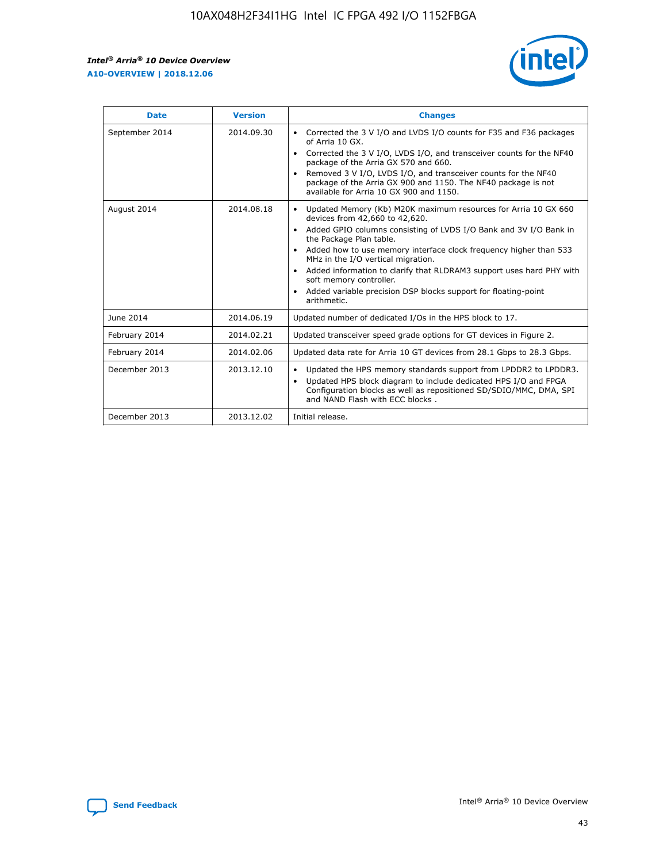r



| <b>Date</b>    | <b>Version</b> | <b>Changes</b>                                                                                                                                                                                                                                                                                                                                                                                                                                                                                                                                      |
|----------------|----------------|-----------------------------------------------------------------------------------------------------------------------------------------------------------------------------------------------------------------------------------------------------------------------------------------------------------------------------------------------------------------------------------------------------------------------------------------------------------------------------------------------------------------------------------------------------|
| September 2014 | 2014.09.30     | Corrected the 3 V I/O and LVDS I/O counts for F35 and F36 packages<br>$\bullet$<br>of Arria 10 GX.<br>Corrected the 3 V I/O, LVDS I/O, and transceiver counts for the NF40<br>$\bullet$<br>package of the Arria GX 570 and 660.<br>Removed 3 V I/O, LVDS I/O, and transceiver counts for the NF40<br>package of the Arria GX 900 and 1150. The NF40 package is not<br>available for Arria 10 GX 900 and 1150.                                                                                                                                       |
| August 2014    | 2014.08.18     | Updated Memory (Kb) M20K maximum resources for Arria 10 GX 660<br>devices from 42,660 to 42,620.<br>Added GPIO columns consisting of LVDS I/O Bank and 3V I/O Bank in<br>$\bullet$<br>the Package Plan table.<br>Added how to use memory interface clock frequency higher than 533<br>$\bullet$<br>MHz in the I/O vertical migration.<br>Added information to clarify that RLDRAM3 support uses hard PHY with<br>$\bullet$<br>soft memory controller.<br>Added variable precision DSP blocks support for floating-point<br>$\bullet$<br>arithmetic. |
| June 2014      | 2014.06.19     | Updated number of dedicated I/Os in the HPS block to 17.                                                                                                                                                                                                                                                                                                                                                                                                                                                                                            |
| February 2014  | 2014.02.21     | Updated transceiver speed grade options for GT devices in Figure 2.                                                                                                                                                                                                                                                                                                                                                                                                                                                                                 |
| February 2014  | 2014.02.06     | Updated data rate for Arria 10 GT devices from 28.1 Gbps to 28.3 Gbps.                                                                                                                                                                                                                                                                                                                                                                                                                                                                              |
| December 2013  | 2013.12.10     | Updated the HPS memory standards support from LPDDR2 to LPDDR3.<br>Updated HPS block diagram to include dedicated HPS I/O and FPGA<br>$\bullet$<br>Configuration blocks as well as repositioned SD/SDIO/MMC, DMA, SPI<br>and NAND Flash with ECC blocks.                                                                                                                                                                                                                                                                                            |
| December 2013  | 2013.12.02     | Initial release.                                                                                                                                                                                                                                                                                                                                                                                                                                                                                                                                    |